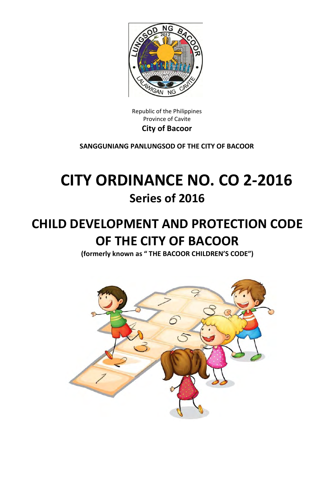

Republic of the Philippines Province of Cavite **City of Bacoor** 

**SANGGUNIANG PANLUNGSOD OF THE CITY OF BACOOR** 

# **CITY ORDINANCE NO. CO 2-2016 Series of 2016**

## **CHILD DEVELOPMENT AND PROTECTION CODE OF THE CITY OF BACOOR**

**(formerly known as " THE BACOOR CHILDREN'S CODE")**

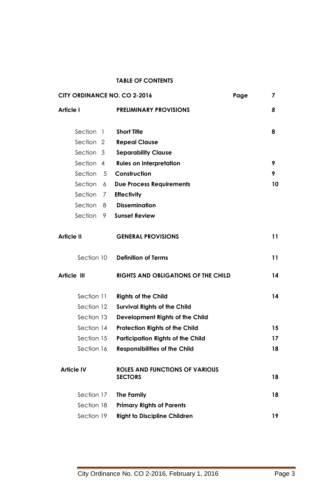## **TABLE OF CONTENTS**

| <b>CITY ORDINANCE NO. CO 2-2016</b> |                |                                                         | Page | 7  |
|-------------------------------------|----------------|---------------------------------------------------------|------|----|
| <b>Article I</b>                    |                | <b>PRELIMINARY PROVISIONS</b>                           |      | 8  |
|                                     |                |                                                         |      |    |
| Section                             | $\overline{1}$ | <b>Short Title</b>                                      |      | 8  |
| Section <sub>2</sub>                |                | <b>Repeal Clause</b>                                    |      |    |
| Section 3                           |                | <b>Separability Clause</b>                              |      |    |
| Section 4                           |                | <b>Rules on Interpretation</b>                          |      | 9  |
| Section                             | 5 <sup>5</sup> | Construction                                            |      | 9  |
| Section                             | 6              | <b>Due Process Requirements</b>                         |      | 10 |
| Section                             | 7              | <b>Effectivity</b>                                      |      |    |
| Section                             | 8              | <b>Dissemination</b>                                    |      |    |
| Section                             | 9              | <b>Sunset Review</b>                                    |      |    |
| <b>Article II</b>                   |                | <b>GENERAL PROVISIONS</b>                               |      | 11 |
| Section 10                          |                | <b>Definition of Terms</b>                              |      | 11 |
| Article III                         |                | <b>RIGHTS AND OBLIGATIONS OF THE CHILD</b>              |      | 14 |
| Section 11                          |                | <b>Rights of the Child</b>                              |      | 14 |
| Section 12                          |                | <b>Survival Rights of the Child</b>                     |      |    |
| Section 13                          |                | Development Rights of the Child                         |      |    |
| Section 14                          |                | <b>Protection Rights of the Child</b>                   |      | 15 |
| Section 15                          |                | <b>Participation Rights of the Child</b>                |      | 17 |
| Section 16                          |                | <b>Responsibilities of the Child</b>                    |      | 18 |
| <b>Article IV</b>                   |                | <b>ROLES AND FUNCTIONS OF VARIOUS</b><br><b>SECTORS</b> |      | 18 |
| Section 17                          |                | The Family                                              |      | 18 |
| Section 18                          |                | <b>Primary Rights of Parents</b>                        |      |    |
| Section 19                          |                | <b>Right to Discipline Children</b>                     |      | 19 |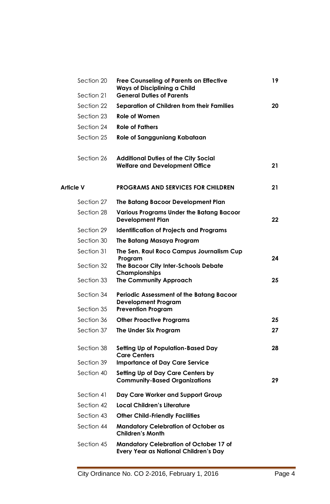| Section 20       | <b>Free Counseling of Parents on Effective</b><br><b>Ways of Disciplining a Child</b>         | 19 |
|------------------|-----------------------------------------------------------------------------------------------|----|
| Section 21       | <b>General Duties of Parents</b>                                                              |    |
| Section 22       | Separation of Children from their Families                                                    | 20 |
| Section 23       | <b>Role of Women</b>                                                                          |    |
| Section 24       | <b>Role of Fathers</b>                                                                        |    |
| Section 25       | <b>Role of Sangguniang Kabataan</b>                                                           |    |
| Section 26       | <b>Additional Duties of the City Social</b><br><b>Welfare and Development Office</b>          | 21 |
| <b>Article V</b> | <b>PROGRAMS AND SERVICES FOR CHILDREN</b>                                                     | 21 |
| Section 27       | The Batang Bacoor Development Plan                                                            |    |
| Section 28       | <b>Various Programs Under the Batang Bacoor</b><br><b>Development Plan</b>                    | 22 |
| Section 29       | <b>Identification of Projects and Programs</b>                                                |    |
| Section 30       | The Batang Masaya Program                                                                     |    |
| Section 31       | The Sen. Raul Roco Campus Journalism Cup<br>Program                                           | 24 |
| Section 32       | The Bacoor City Inter-Schools Debate<br>Championships                                         |    |
| Section 33       | <b>The Community Approach</b>                                                                 | 25 |
| Section 34       | <b>Periodic Assessment of the Batang Bacoor</b><br><b>Development Program</b>                 |    |
| Section 35       | <b>Prevention Program</b>                                                                     |    |
| Section 36       | <b>Other Proactive Programs</b>                                                               | 25 |
| Section 37       | The Under Six Program                                                                         | 27 |
| Section 38       | Setting Up of Population-Based Day<br><b>Care Centers</b>                                     | 28 |
| Section 39       | <b>Importance of Day Care Service</b>                                                         |    |
| Section 40       | Setting Up of Day Care Centers by<br><b>Community-Based Organizations</b>                     | 29 |
| Section 41       | Day Care Worker and Support Group                                                             |    |
| Section 42       | <b>Local Children's Literature</b>                                                            |    |
| Section 43       | <b>Other Child-Friendly Facilities</b>                                                        |    |
| Section 44       | <b>Mandatory Celebration of October as</b><br><b>Children's Month</b>                         |    |
| Section 45       | <b>Mandatory Celebration of October 17 of</b><br><b>Every Year as National Children's Day</b> |    |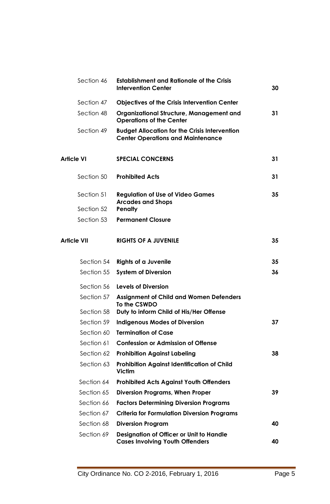| Section 46         | <b>Establishment and Rationale of the Crisis</b><br><b>Intervention Center</b>                   | 30 |
|--------------------|--------------------------------------------------------------------------------------------------|----|
| Section 47         | <b>Objectives of the Crisis Intervention Center</b>                                              |    |
| Section 48         | <b>Organizational Structure, Management and</b><br><b>Operations of the Center</b>               | 31 |
| Section 49         | <b>Budget Allocation for the Crisis Intervention</b><br><b>Center Operations and Maintenance</b> |    |
| Article VI         | <b>SPECIAL CONCERNS</b>                                                                          | 31 |
| Section 50         | <b>Prohibited Acts</b>                                                                           | 31 |
| Section 51         | <b>Regulation of Use of Video Games</b><br><b>Arcades and Shops</b>                              | 35 |
| Section 52         | <b>Penalty</b>                                                                                   |    |
| Section 53         | <b>Permanent Closure</b>                                                                         |    |
| <b>Article VII</b> | <b>RIGHTS OF A JUVENILE</b>                                                                      | 35 |
|                    | Section 54 Rights of a Juvenile                                                                  | 35 |
| Section 55         | <b>System of Diversion</b>                                                                       | 36 |
|                    | Section 56 Levels of Diversion                                                                   |    |
| Section 57         | <b>Assignment of Child and Women Defenders</b><br>To the CSWDO                                   |    |
| Section 58         | Duty to inform Child of His/Her Offense                                                          |    |
| Section 59         | <b>Indigenous Modes of Diversion</b>                                                             | 37 |
| Section 60         | <b>Termination of Case</b>                                                                       |    |
| Section 61         | <b>Confession or Admission of Offense</b>                                                        |    |
| Section 62         | <b>Prohibition Against Labeling</b>                                                              | 38 |
| Section 63         | <b>Prohibition Against Identification of Child</b><br><b>Victim</b>                              |    |
| Section 64         | <b>Prohibited Acts Against Youth Offenders</b>                                                   |    |
| Section 65         | Diversion Programs, When Proper                                                                  | 39 |
| Section 66         | <b>Factors Determining Diversion Programs</b>                                                    |    |
| Section 67         | <b>Criteria for Formulation Diversion Programs</b>                                               |    |
| Section 68         | <b>Diversion Program</b>                                                                         | 40 |
| Section 69         | <b>Designation of Officer or Unit to Handle</b><br><b>Cases Involving Youth Offenders</b>        | 40 |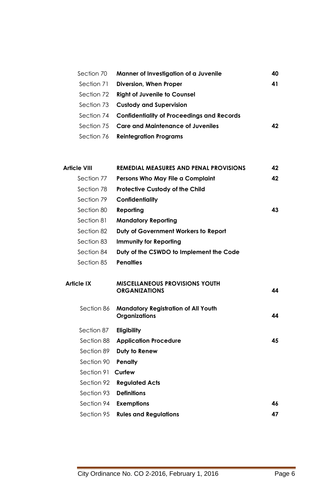| Section 70 Manner of Investigation of a Juvenile      | 40 |
|-------------------------------------------------------|----|
| Section 71 Diversion, When Proper                     | 41 |
| Section 72 Right of Juvenile to Counsel               |    |
| Section 73 Custody and Supervision                    |    |
| Section 74 Confidentiality of Proceedings and Records |    |
| Section 75 Care and Maintenance of Juveniles          | 42 |
| Section 76 Reintegration Programs                     |    |

| <b>Article VIII</b> | <b>REMEDIAL MEASURES AND PENAL PROVISIONS</b>                 | 42 |
|---------------------|---------------------------------------------------------------|----|
| Section 77          | Persons Who May File a Complaint                              |    |
| Section 78          | <b>Protective Custody of the Child</b>                        |    |
| Section 79          | <b>Confidentiality</b>                                        |    |
| Section 80          | Reporting                                                     | 43 |
| Section 81          | <b>Mandatory Reporting</b>                                    |    |
| Section 82          | Duty of Government Workers to Report                          |    |
| Section 83          | <b>Immunity for Reporting</b>                                 |    |
| Section 84          | Duty of the CSWDO to Implement the Code                       |    |
| Section 85          | <b>Penalties</b>                                              |    |
|                     |                                                               |    |
| <b>Article IX</b>   | <b>MISCELLANEOUS PROVISIONS YOUTH</b><br><b>ORGANIZATIONS</b> | 44 |
|                     |                                                               |    |
| Section 86          | <b>Mandatory Registration of All Youth</b>                    |    |
|                     | <b>Organizations</b>                                          | 44 |
| Section 87          | Eligibility                                                   |    |
| Section 88          | <b>Application Procedure</b>                                  | 45 |
| Section 89          | Duty to Renew                                                 |    |
| Section 90          | <b>Penalty</b>                                                |    |
| Section 91          | <b>Curfew</b>                                                 |    |
| Section 92          | <b>Regulated Acts</b>                                         |    |
| Section 93          | <b>Definitions</b>                                            |    |
| Section 94          | <b>Exemptions</b>                                             | 46 |
| Section 95          | <b>Rules and Regulations</b>                                  | 47 |
|                     |                                                               |    |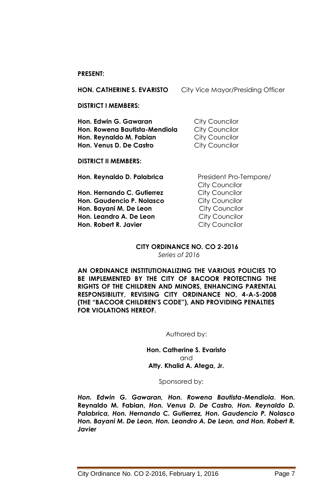**PRESENT:**

**HON. CATHERINE S. EVARISTO** City Vice Mayor/Presiding Officer

**DISTRICT I MEMBERS:** 

**Hon. Edwin G. Gawaran City Councilor Hon. Rowena Bautista-Mendiola** City Councilor **Hon. Reynaldo M. Fabian City Councilor Hon. Venus D. De Castro City Councilor** 

**DISTRICT II MEMBERS:** 

Hon. Reynaldo D. Palabrica **President Pro-Tempore/** 

**Hon. Hernando C. Gutierrez City Councilor** Hon. Gaudencio P. Nolasco **City Councilor Hon. Bayani M. De Leon** City Councilor **Hon. Leandro A. De Leon** City Councilor **Hon. Robert R. Javier City Councilor** 

City Councilor

#### **CITY ORDINANCE NO. CO 2-2016**  *Series of 2016*

**AN ORDINANCE INSTITUTIONALIZING THE VARIOUS POLICIES TO BE IMPLEMENTED BY THE CITY OF BACOOR PROTECTING THE RIGHTS OF THE CHILDREN AND MINORS, ENHANCING PARENTAL RESPONSIBILITY, REVISING CITY ORDINANCE NO, 4-A-S-2008 (THE ―BACOOR CHILDREN'S CODE‖), AND PROVIDING PENALTIES FOR VIOLATIONS HEREOF.** 

Authored by:

**Hon. Catherine S. Evaristo**  and **Atty. Khalid A. Atega, Jr.** 

Sponsored by:

*Hon. Edwin G. Gawaran, Hon. Rowena Bautista-Mendiola*, **Hon. Reynaldo M. Fabian,** *Hon. Venus D. De Castro, Hon. Reynaldo D. Palabrica, Hon. Hernando C. Gutierrez, Hon. Gaudencio P. Nolasco Hon. Bayani M. De Leon, Hon. Leandro A. De Leon, and Hon. Robert R. Javier*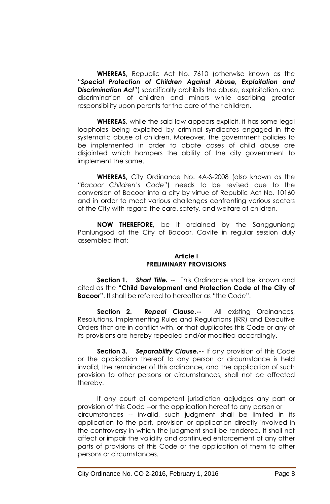**WHEREAS,** Republic Act No. 7610 (otherwise known as the ―*Special Protection of Children Against Abuse, Exploitation and*  **Discrimination Act<sup>***"***</sup>**) specifically prohibits the abuse, exploitation, and discrimination of children and minors while ascribing greater responsibility upon parents for the care of their children.

**WHEREAS,** while the said law appears explicit, it has some legal loopholes being exploited by criminal syndicates engaged in the systematic abuse of children. Moreover, the government policies to be implemented in order to abate cases of child abuse are disjointed which hampers the ability of the city government to implement the same.

**WHEREAS,** City Ordinance No. 4A-S-2008 (also known as the *"Bacoor Children's Code"*) needs to be revised due to the conversion of Bacoor into a city by virtue of Republic Act No. 10160 and in order to meet various challenges confronting various sectors of the City with regard the care, safety, and welfare of children.

**NOW THEREFORE,** be it ordained by the Sangguniang Panlungsod of the City of Bacoor, Cavite in regular session duly assembled that:

#### **Article I PRELIMINARY PROVISIONS**

 **Section 1.** *Short Title. --* This Ordinance shall be known and cited as the "Child Development and Protection Code of the City of **Bacoor**". It shall be referred to hereafter as "the Code".

**Section 2.** *Repeal Clause***.--** All existing Ordinances, Resolutions, Implementing Rules and Regulations (IRR) and Executive Orders that are in conflict with, or that duplicates this Code or any of its provisions are hereby repealed and/or modified accordingly.

**Section 3.** *Separability Clause.***--** If any provision of this Code or the application thereof to any person or circumstance is held invalid, the remainder of this ordinance, and the application of such provision to other persons or circumstances, shall not be affected thereby.

 If any court of competent jurisdiction adjudges any part or provision of this Code --or the application hereof to any person or circumstances -- invalid, such judgment shall be limited in its application to the part, provision or application directly involved in the controversy in which the judgment shall be rendered. It shall not affect or impair the validity and continued enforcement of any other parts of provisions of this Code or the application of them to other persons or circumstances.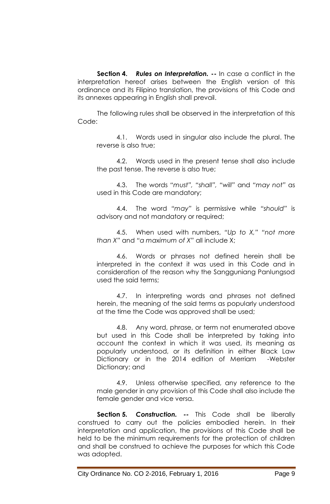**Section 4.** *Rules on Interpretation.* **--** In case a conflict in the interpretation hereof arises between the English version of this ordinance and its Filipino translation, the provisions of this Code and its annexes appearing in English shall prevail.

 The following rules shall be observed in the interpretation of this Code:

 4.1. Words used in singular also include the plural. The reverse is also true;

 4.2. Words used in the present tense shall also include the past tense. The reverse is also true;

 4.3. The words *"must", "shall", "will"* and *"may not"* as used in this Code are mandatory;

 4.4. The word *"may"* is permissive while *"should"* is advisory and not mandatory or required;

 4.5. When used with numbers, *"Up to X," "not more than X"* and *"a maximum of X"* all include X;

 4.6. Words or phrases not defined herein shall be interpreted in the context it was used in this Code and in consideration of the reason why the Sangguniang Panlungsod used the said terms;

 4.7. In interpreting words and phrases not defined herein, the meaning of the said terms as popularly understood at the time the Code was approved shall be used;

 4.8. Any word, phrase, or term not enumerated above but used in this Code shall be interpreted by taking into account the context in which it was used, its meaning as popularly understood, or its definition in either Black Law Dictionary or in the 2014 edition of Merriam -Webster Dictionary; and

 4.9. Unless otherwise specified, any reference to the male gender in any provision of this Code shall also include the female gender and vice versa.

**Section 5***. Construction. --* This Code shall be liberally construed to carry out the policies embodied herein. In their interpretation and application, the provisions of this Code shall be held to be the minimum requirements for the protection of children and shall be construed to achieve the purposes for which this Code was adopted.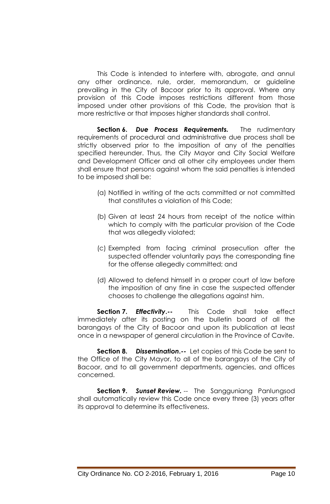This Code is intended to interfere with, abrogate, and annul any other ordinance, rule, order, memorandum, or guideline prevailing in the City of Bacoor prior to its approval. Where any provision of this Code imposes restrictions different from those imposed under other provisions of this Code, the provision that is more restrictive or that imposes higher standards shall control.

 **Section 6.** *Due Process Requirements.* The rudimentary requirements of procedural and administrative due process shall be strictly observed prior to the imposition of any of the penalties specified hereunder. Thus, the City Mayor and City Social Welfare and Development Officer and all other city employees under them shall ensure that persons against whom the said penalties is intended to be imposed shall be:

- (a) Notified in writing of the acts committed or not committed that constitutes a violation of this Code;
- (b) Given at least 24 hours from receipt of the notice within which to comply with the particular provision of the Code that was allegedly violated;
- (c) Exempted from facing criminal prosecution after the suspected offender voluntarily pays the corresponding fine for the offense allegedly committed; and
- (d) Allowed to defend himself in a proper court of law before the imposition of any fine in case the suspected offender chooses to challenge the allegations against him.

**Section 7.** *Effectivity***.--** This Code shall take effect immediately after its posting on the bulletin board of all the barangays of the City of Bacoor and upon its publication at least once in a newspaper of general circulation in the Province of Cavite.

**Section 8.** *Dissemination***.--** Let copies of this Code be sent to the Office of the City Mayor, to all of the barangays of the City of Bacoor, and to all government departments, agencies, and offices concerned.

**Section 9.** *Sunset Review.* -- The Sangguniang Panlungsod shall automatically review this Code once every three (3) years after its approval to determine its effectiveness.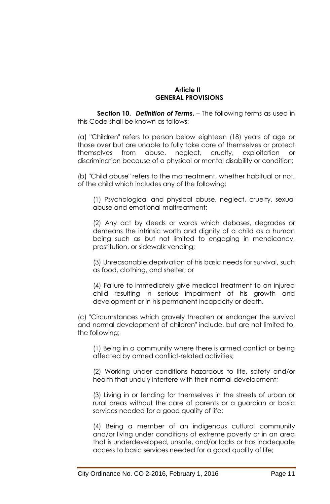## **Article II GENERAL PROVISIONS**

**Section 10.** *Definition of Terms***.** – The following terms as used in this Code shall be known as follows:

(a) "Children" refers to person below eighteen (18) years of age or those over but are unable to fully take care of themselves or protect themselves from abuse, neglect, cruelty, exploitation or discrimination because of a physical or mental disability or condition;

(b) "Child abuse" refers to the maltreatment, whether habitual or not, of the child which includes any of the following:

(1) Psychological and physical abuse, neglect, cruelty, sexual abuse and emotional maltreatment;

(2) Any act by deeds or words which debases, degrades or demeans the intrinsic worth and dignity of a child as a human being such as but not limited to engaging in mendicancy, prostitution, or sidewalk vending;

(3) Unreasonable deprivation of his basic needs for survival, such as food, clothing, and shelter; or

(4) Failure to immediately give medical treatment to an injured child resulting in serious impairment of his growth and development or in his permanent incapacity or death.

(c) "Circumstances which gravely threaten or endanger the survival and normal development of children" include, but are not limited to, the following;

(1) Being in a community where there is armed conflict or being affected by armed conflict-related activities;

(2) Working under conditions hazardous to life, safety and/or health that unduly interfere with their normal development;

(3) Living in or fending for themselves in the streets of urban or rural areas without the care of parents or a guardian or basic services needed for a good quality of life;

(4) Being a member of an indigenous cultural community and/or living under conditions of extreme poverty or in an area that is underdeveloped, unsafe, and/or lacks or has inadequate access to basic services needed for a good quality of life;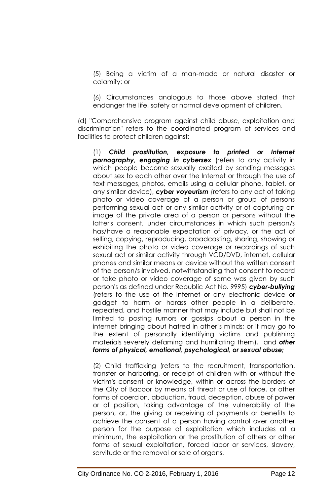(5) Being a victim of a man-made or natural disaster or calamity; or

(6) Circumstances analogous to those above stated that endanger the life, safety or normal development of children.

(d) "Comprehensive program against child abuse, exploitation and discrimination" refers to the coordinated program of services and facilities to protect children against:

(1) *Child prostitution, exposure to printed or Internet pornography, engaging in cybersex* (refers to any activity in which people become sexually excited by sending messages about sex to each other over the Internet or through the use of text messages, photos, emails using a cellular phone, tablet, or any similar device), *cyber voyeurism* (refers to any act of taking photo or video coverage of a person or group of persons performing sexual act or any similar activity or of capturing an image of the private area of a person or persons without the latter's consent, under circumstances in which such person/s has/have a reasonable expectation of privacy, or the act of selling, copying, reproducing, broadcasting, sharing, showing or exhibiting the photo or video coverage or recordings of such sexual act or similar activity through VCD/DVD, internet, cellular phones and similar means or device without the written consent of the person/s involved, notwithstanding that consent to record or take photo or video coverage of same was given by such person's as defined under Republic Act No. 9995) *cyber-bullying* (refers to the use of the Internet [or any electronic device or](http://en.wikipedia.org/wiki/Information_Technology)  [gadget](http://en.wikipedia.org/wiki/Information_Technology) to harm or harass other people in a deliberate, repeated, and hostile manner that may include but shall not be limited to posting rumors or gossips about a person in the internet bringing about hatred in other's minds; or it may go to the extent of personally identifying victims and publishing materials severely defaming and humiliating them), and *other forms of physical, emotional, psychological, or sexual abuse;* 

(2) Child trafficking (refers to the recruitment, transportation, transfer or harboring, or receipt of children with or without the victim's consent or knowledge, within or across the borders of the City of Bacoor by means of threat or use of force, or other forms of coercion, abduction, fraud, deception, abuse of power or of position, taking advantage of the vulnerability of the person, or, the giving or receiving of payments or benefits to achieve the consent of a person having control over another person for the purpose of exploitation which includes at a minimum, the exploitation or the prostitution of others or other forms of sexual exploitation, forced labor or services, slavery, servitude or the removal or sale of organs.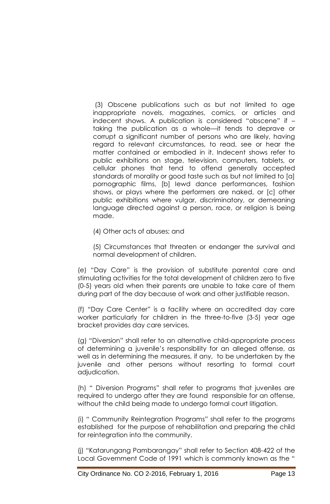(3) Obscene publications such as but not limited to age inappropriate novels, magazines, comics, or articles and indecent shows. A publication is considered "obscene" if taking the publication as a whole—it tends to deprave or corrupt a significant number of persons who are likely, having regard to relevant circumstances, to read, see or hear the matter contained or embodied in it. Indecent shows refer to public exhibitions on stage, television, computers, tablets, or cellular phones that tend to offend generally accepted standards of morality or good taste such as but not limited to [a] pornographic films, [b] lewd dance performances, fashion shows, or plays where the performers are naked, or [c] other public exhibitions where vulgar, discriminatory, or demeaning language directed against a person, race, or religion is being made.

(4) Other acts of abuses; and

(5) Circumstances that threaten or endanger the survival and normal development of children.

(e) "Day Care" is the provision of substitute parental care and stimulating activities for the total development of children zero to five (0-5) years old when their parents are unable to take care of them during part of the day because of work and other justifiable reason.

(f) "Day Care Center" is a facility where an accredited day care worker particularly for children in the three-to-five (3-5) year age bracket provides day care services.

(g) "Diversion" shall refer to an alternative child-appropriate process of determining a juvenile's responsibility for an alleged offense, as well as in determining the measures, if any, to be undertaken by the juvenile and other persons without resorting to formal court adjudication.

(h) " Diversion Programs" shall refer to programs that juveniles are required to undergo after they are found responsible for an offense, without the child being made to undergo formal court litigation.

(i) " Community Reintegration Programs" shall refer to the programs established for the purpose of rehabilitation and preparing the child for reintegration into the community.

(j) "Katarungang Pambarangay" shall refer to Section 408-422 of the Local Government Code of 1991 which is commonly known as the "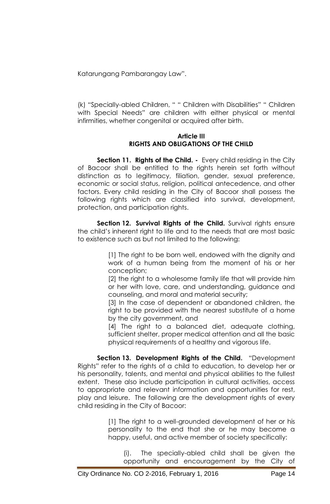Katarungang Pambarangay Law".

(k) "Specially-abled Children, " " Children with Disabilities" " Children with Special Needs" are children with either physical or mental infirmities, whether congenital or acquired after birth.

#### **Article III RIGHTS AND OBLIGATIONS OF THE CHILD**

**Section 11. Rights of the Child. -** Every child residing in the City of Bacoor shall be entitled to the rights herein set forth without distinction as to legitimacy, filiation, gender, sexual preference, economic or social status, religion, political antecedence, and other factors. Every child residing in the City of Bacoor shall possess the following rights which are classified into survival, development, protection, and participation rights.

**Section 12. Survival Rights of the Child.** Survival rights ensure the child's inherent right to life and to the needs that are most basic to existence such as but not limited to the following:

> [1] The right to be born well, endowed with the dignity and work of a human being from the moment of his or her conception;

> [2] the right to a wholesome family life that will provide him or her with love, care, and understanding, guidance and counseling, and moral and material security;

> [3] In the case of dependent or abandoned children, the right to be provided with the nearest substitute of a home by the city government, and

> [4] The right to a balanced diet, adequate clothing, sufficient shelter, proper medical attention and all the basic physical requirements of a healthy and vigorous life.

**Section 13. Development Rights of the Child.** "Development Rights‖ refer to the rights of a child to education, to develop her or his personality, talents, and mental and physical abilities to the fullest extent. These also include participation in cultural activities, access to appropriate and relevant information and opportunities for rest, play and leisure. The following are the development rights of every child residing in the City of Bacoor:

> [1] The right to a well-grounded development of her or his personality to the end that she or he may become a happy, useful, and active member of society specifically:

(i). The specially-abled child shall be given the opportunity and encouragement by the City of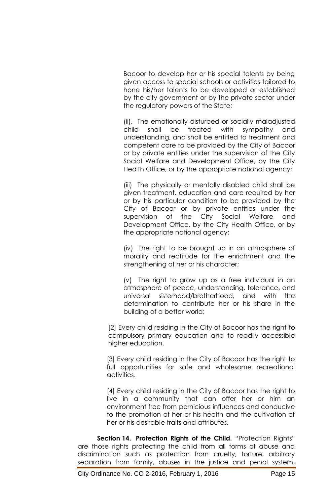Bacoor to develop her or his special talents by being given access to special schools or activities tailored to hone his/her talents to be developed or established by the city government or by the private sector under the regulatory powers of the State;

(ii). The emotionally disturbed or socially maladjusted child shall be treated with sympathy and understanding, and shall be entitled to treatment and competent care to be provided by the City of Bacoor or by private entities under the supervision of the City Social Welfare and Development Office, by the City Health Office, or by the appropriate national agency;

(iii) The physically or mentally disabled child shall be given treatment, education and care required by her or by his particular condition to be provided by the City of Bacoor or by private entities under the supervision of the City Social Welfare and Development Office, by the City Health Office, or by the appropriate national agency;

(iv) The right to be brought up in an atmosphere of morality and rectitude for the enrichment and the strengthening of her or his character;

(v) The right to grow up as a free individual in an atmosphere of peace, understanding, tolerance, and universal sisterhood/brotherhood, and with the determination to contribute her or his share in the building of a better world;

[2] Every child residing in the City of Bacoor has the right to compulsory primary education and to readily accessible higher education.

[3] Every child residing in the City of Bacoor has the right to full opportunities for safe and wholesome recreational activities.

[4] Every child residing in the City of Bacoor has the right to live in a community that can offer her or him an environment free from pernicious influences and conducive to the promotion of her or his health and the cultivation of her or his desirable traits and attributes.

**Section 14. Protection Rights of the Child.** "Protection Rights" are those rights protecting the child from all forms of abuse and discrimination such as protection from cruelty, torture, arbitrary separation from family, abuses in the justice and penal system,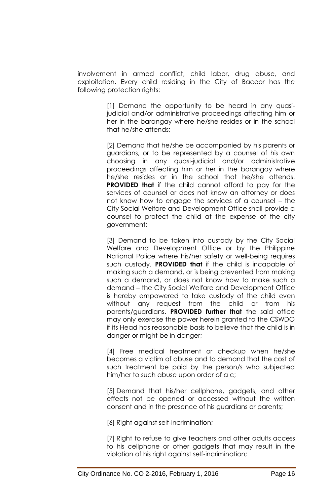involvement in armed conflict, child labor, drug abuse, and exploitation. Every child residing in the City of Bacoor has the following protection rights:

> [1] Demand the opportunity to be heard in any quasijudicial and/or administrative proceedings affecting him or her in the barangay where he/she resides or in the school that he/she attends;

> [2] Demand that he/she be accompanied by his parents or guardians, or to be represented by a counsel of his own choosing in any quasi-judicial and/or administrative proceedings affecting him or her in the barangay where he/she resides or in the school that he/she attends. **PROVIDED that** if the child cannot afford to pay for the services of counsel or does not know an attorney or does not know how to engage the services of a counsel – the City Social Welfare and Development Office shall provide a counsel to protect the child at the expense of the city government;

> [3] Demand to be taken into custody by the City Social Welfare and Development Office or by the Philippine National Police where his/her safety or well-being requires such custody. **PROVIDED that** if the child is incapable of making such a demand, or is being prevented from making such a demand, or does not know how to make such a demand – the City Social Welfare and Development Office is hereby empowered to take custody of the child even without any request from the child or from his parents/guardians. **PROVIDED further that** the said office may only exercise the power herein granted to the CSWDO if its Head has reasonable basis to believe that the child is in danger or might be in danger;

> [4] Free medical treatment or checkup when he/she becomes a victim of abuse and to demand that the cost of such treatment be paid by the person/s who subjected him/her to such abuse upon order of a c;

> [5] Demand that his/her cellphone, gadgets, and other effects not be opened or accessed without the written consent and in the presence of his guardians or parents;

[6] Right against self-incrimination;

[7] Right to refuse to give teachers and other adults access to his cellphone or other gadgets that may result in the violation of his right against self-incrimination;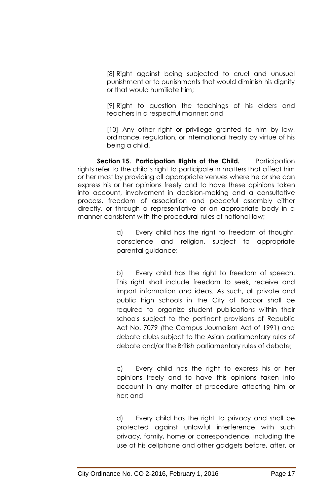[8] Right against being subjected to cruel and unusual punishment or to punishments that would diminish his dignity or that would humiliate him;

[9] Right to question the teachings of his elders and teachers in a respectful manner; and

[10] Any other right or privilege granted to him by law, ordinance, regulation, or international treaty by virtue of his being a child.

**Section 15. Participation Rights of the Child.** Participation rights refer to the child's right to participate in matters that affect him or her most by providing all appropriate venues where he or she can express his or her opinions freely and to have these opinions taken into account, involvement in decision-making and a consultative process, freedom of association and peaceful assembly either directly, or through a representative or an appropriate body in a manner consistent with the procedural rules of national law;

> a) Every child has the right to freedom of thought, conscience and religion, subject to appropriate parental guidance;

> b) Every child has the right to freedom of speech. This right shall include freedom to seek, receive and impart information and ideas. As such, all private and public high schools in the City of Bacoor shall be required to organize student publications within their schools subject to the pertinent provisions of Republic Act No. 7079 (the Campus Journalism Act of 1991) and debate clubs subject to the Asian parliamentary rules of debate and/or the British parliamentary rules of debate;

> c) Every child has the right to express his or her opinions freely and to have this opinions taken into account in any matter of procedure affecting him or her; and

> d) Every child has the right to privacy and shall be protected against unlawful interference with such privacy, family, home or correspondence, including the use of his cellphone and other gadgets before, after, or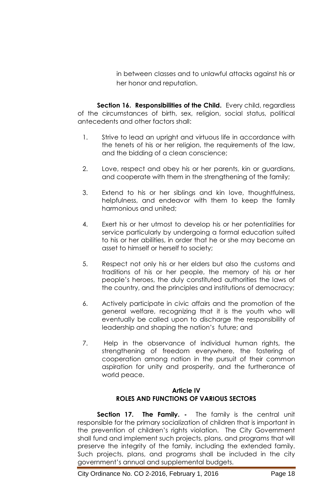in between classes and to unlawful attacks against his or her honor and reputation.

**Section 16. Responsibilities of the Child.** Every child, regardless of the circumstances of birth, sex, religion, social status, political antecedents and other factors shall:

- 1. Strive to lead an upright and virtuous life in accordance with the tenets of his or her religion, the requirements of the law, and the bidding of a clean conscience;
- 2. Love, respect and obey his or her parents, kin or guardians, and cooperate with them in the strengthening of the family;
- 3. Extend to his or her siblings and kin love, thoughtfulness, helpfulness, and endeavor with them to keep the family harmonious and united;
- 4. Exert his or her utmost to develop his or her potentialities for service particularly by undergoing a formal education suited to his or her abilities, in order that he or she may become an asset to himself or herself to society;
- 5. Respect not only his or her elders but also the customs and traditions of his or her people, the memory of his or her people's heroes, the duly constituted authorities the laws of the country, and the principles and institutions of democracy;
- 6. Actively participate in civic affairs and the promotion of the general welfare, recognizing that it is the youth who will eventually be called upon to discharge the responsibility of leadership and shaping the nation's future; and
- 7. Help in the observance of individual human rights, the strengthening of freedom everywhere, the fostering of cooperation among nation in the pursuit of their common aspiration for unity and prosperity, and the furtherance of world peace.

### **Article IV ROLES AND FUNCTIONS OF VARIOUS SECTORS**

**Section 17. The Family. -** The family is the central unit responsible for the primary socialization of children that is important in the prevention of children's rights violation. The City Government shall fund and implement such projects, plans, and programs that will preserve the integrity of the family, including the extended family. Such projects, plans, and programs shall be included in the city government's annual and supplemental budgets.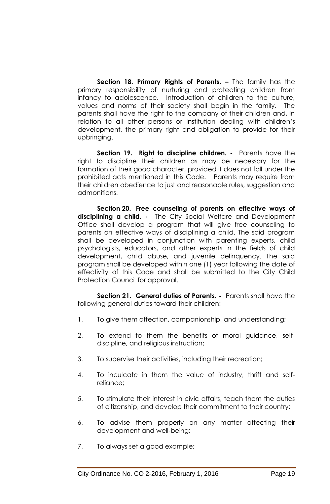**Section 18. Primary Rights of Parents. –** The family has the primary responsibility of nurturing and protecting children from infancy to adolescence. Introduction of children to the culture, values and norms of their society shall begin in the family. The parents shall have the right to the company of their children and, in relation to all other persons or institution dealing with children's development, the primary right and obligation to provide for their upbringing.

**Section 19. Right to discipline children. -** Parents have the right to discipline their children as may be necessary for the formation of their good character, provided it does not fall under the prohibited acts mentioned in this Code. Parents may require from their children obedience to just and reasonable rules, suggestion and admonitions.

**Section 20. Free counseling of parents on effective ways of disciplining a child. -** The City Social Welfare and Development Office shall develop a program that will give free counseling to parents on effective ways of disciplining a child. The said program shall be developed in conjunction with parenting experts, child psychologists, educators, and other experts in the fields of child development, child abuse, and juvenile delinquency. The said program shall be developed within one (1) year following the date of effectivity of this Code and shall be submitted to the City Child Protection Council for approval.

 **Section 21. General duties of Parents. -** Parents shall have the following general duties toward their children:

- 1. To give them affection, companionship, and understanding;
- 2. To extend to them the benefits of moral guidance, selfdiscipline, and religious instruction;
- 3. To supervise their activities, including their recreation;
- 4. To inculcate in them the value of industry, thrift and selfreliance;
- 5. To stimulate their interest in civic affairs, teach them the duties of citizenship, and develop their commitment to their country;
- 6. To advise them properly on any matter affecting their development and well-being;
- 7. To always set a good example;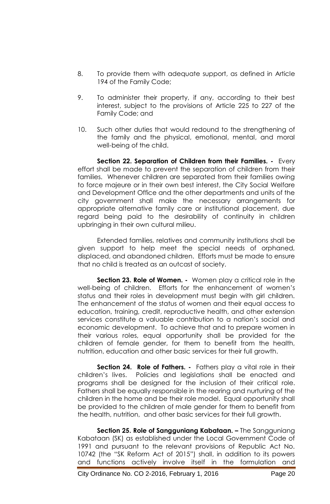- 8. To provide them with adequate support, as defined in Article 194 of the Family Code;
- 9. To administer their property, if any, according to their best interest, subject to the provisions of Article 225 to 227 of the Family Code; and
- 10. Such other duties that would redound to the strengthening of the family and the physical, emotional, mental, and moral well-being of the child.

 **Section 22. Separation of Children from their Families. -** Every effort shall be made to prevent the separation of children from their families. Whenever children are separated from their families owing to force majeure or in their own best interest, the City Social Welfare and Development Office and the other departments and units of the city government shall make the necessary arrangements for appropriate alternative family care or institutional placement, due regard being paid to the desirability of continuity in children upbringing in their own cultural milieu.

 Extended families, relatives and community institutions shall be given support to help meet the special needs of orphaned, displaced, and abandoned children. Efforts must be made to ensure that no child is treated as an outcast of society.

**Section 23. Role of Women. -** Women play a critical role in the well-being of children. Efforts for the enhancement of women's status and their roles in development must begin with girl children. The enhancement of the status of women and their equal access to education, training, credit, reproductive health, and other extension services constitute a valuable contribution to a nation's social and economic development. To achieve that and to prepare women in their various roles, equal opportunity shall be provided for the children of female gender, for them to benefit from the health, nutrition, education and other basic services for their full growth.

 **Section 24. Role of Fathers. -** Fathers play a vital role in their children's lives. Policies and legislations shall be enacted and programs shall be designed for the inclusion of their critical role. Fathers shall be equally responsible in the rearing and nurturing of the children in the home and be their role model. Equal opportunity shall be provided to the children of male gender for them to benefit from the health, nutrition, and other basic services for their full growth.

 **Section 25. Role of Sangguniang Kabataan. –** The Sangguniang Kabataan (SK) as established under the Local Government Code of 1991 and pursuant to the relevant provisions of Republic Act No. 10742 (the "SK Reform Act of 2015") shall, in addition to its powers and functions actively involve itself in the formulation and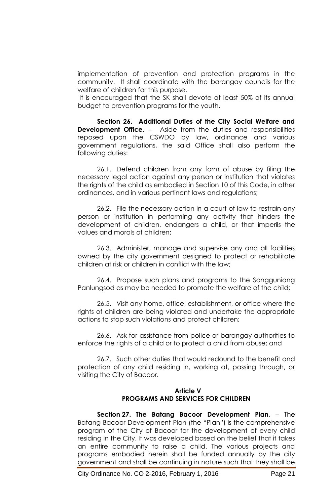implementation of prevention and protection programs in the community. It shall coordinate with the barangay councils for the welfare of children for this purpose.

 It is encouraged that the SK shall devote at least 50% of its annual budget to prevention programs for the youth.

**Section 26. Additional Duties of the City Social Welfare and Development Office.** -- Aside from the duties and responsibilities reposed upon the CSWDO by law, ordinance and various government regulations, the said Office shall also perform the following duties:

26.1. Defend children from any form of abuse by filing the necessary legal action against any person or institution that violates the rights of the child as embodied in Section 10 of this Code, in other ordinances, and in various pertinent laws and regulations;

26.2. File the necessary action in a court of law to restrain any person or institution in performing any activity that hinders the development of children, endangers a child, or that imperils the values and morals of children;

26.3. Administer, manage and supervise any and all facilities owned by the city government designed to protect or rehabilitate children at risk or children in conflict with the law;

26.4. Propose such plans and programs to the Sangguniang Panlungsod as may be needed to promote the welfare of the child;

26.5. Visit any home, office, establishment, or office where the rights of children are being violated and undertake the appropriate actions to stop such violations and protect children;

26.6. Ask for assistance from police or barangay authorities to enforce the rights of a child or to protect a child from abuse; and

26.7. Such other duties that would redound to the benefit and protection of any child residing in, working at, passing through, or visiting the City of Bacoor.

#### **Article V PROGRAMS AND SERVICES FOR CHILDREN**

 **Section 27. The Batang Bacoor Development Plan.** – The Batang Bacoor Development Plan (the "Plan") is the comprehensive program of the City of Bacoor for the development of every child residing in the City. It was developed based on the belief that it takes an entire community to raise a child. The various projects and programs embodied herein shall be funded annually by the city government and shall be continuing in nature such that they shall be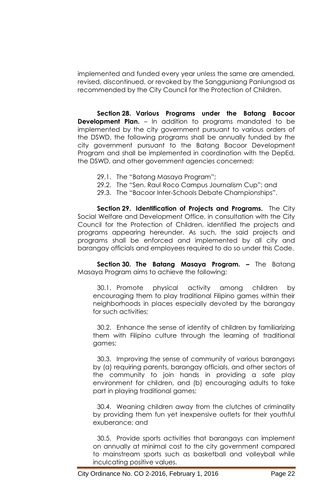implemented and funded every year unless the same are amended, revised, discontinued, or revoked by the Sangguniang Panlungsod as recommended by the City Council for the Protection of Children.

**Section 28. Various Programs under the Batang Bacoor Development Plan.** – In addition to programs mandated to be implemented by the city government pursuant to various orders of the DSWD, the following programs shall be annually funded by the city government pursuant to the Batang Bacoor Development Program and shall be implemented in coordination with the DepEd, the DSWD, and other government agencies concerned:

- 29.1. The "Batang Masaya Program";
- 29.2. The "Sen. Raul Roco Campus Journalism Cup"; and
- 29.3. The "Bacoor Inter-Schools Debate Championships".

**Section 29. Identification of Projects and Programs.** The City Social Welfare and Development Office, in consultation with the City Council for the Protection of Children, identified the projects and programs appearing hereunder. As such, the said projects and programs shall be enforced and implemented by all city and barangay officials and employees required to do so under this Code.

**Section 30. The Batang Masaya Program. –** The Batang Masaya Program aims to achieve the following:

 30.1. Promote physical activity among children by encouraging them to play traditional Filipino games within their neighborhoods in places especially devoted by the barangay for such activities;

 30.2. Enhance the sense of identity of children by familiarizing them with Filipino culture through the learning of traditional games;

 30.3. Improving the sense of community of various barangays by (a) requiring parents, barangay officials, and other sectors of the community to join hands in providing a safe play environment for children, and (b) encouraging adults to take part in playing traditional games;

 30.4. Weaning children away from the clutches of criminality by providing them fun yet inexpensive outlets for their youthful exuberance; and

 30.5. Provide sports activities that barangays can implement on annually at minimal cost to the city government compared to mainstream sports such as basketball and volleyball while inculcating positive values.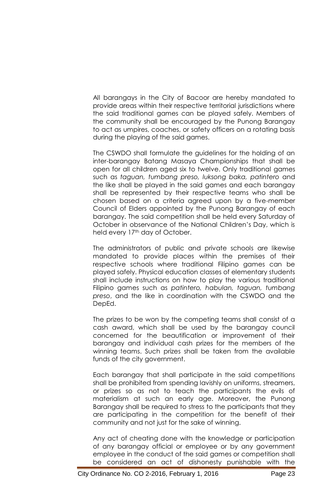All barangays in the City of Bacoor are hereby mandated to provide areas within their respective territorial jurisdictions where the said traditional games can be played safely. Members of the community shall be encouraged by the Punong Barangay to act as umpires, coaches, or safety officers on a rotating basis during the playing of the said games.

 The CSWDO shall formulate the guidelines for the holding of an inter-barangay Batang Masaya Championships that shall be open for all children aged six to twelve. Only traditional games such as *taguan, tumbang preso, luksong baka, patintero* and the like shall be played in the said games and each barangay shall be represented by their respective teams who shall be chosen based on a criteria agreed upon by a five-member Council of Elders appointed by the Punong Barangay of each barangay. The said competition shall be held every Saturday of October in observance of the National Children's Day, which is held every 17<sup>th</sup> day of October.

 The administrators of public and private schools are likewise mandated to provide places within the premises of their respective schools where traditional Filipino games can be played safely. Physical education classes of elementary students shall include instructions on how to play the various traditional Filipino games such as *patintero, habulan, taguan, tumbang preso*, and the like in coordination with the CSWDO and the DepEd.

 The prizes to be won by the competing teams shall consist of a cash award, which shall be used by the barangay council concerned for the beautification or improvement of their barangay and individual cash prizes for the members of the winning teams. Such prizes shall be taken from the available funds of the city government.

 Each barangay that shall participate in the said competitions shall be prohibited from spending lavishly on uniforms, streamers, or prizes so as not to teach the participants the evils of materialism at such an early age. Moreover, the Punong Barangay shall be required to stress to the participants that they are participating in the competition for the benefit of their community and not just for the sake of winning.

 Any act of cheating done with the knowledge or participation of any barangay official or employee or by any government employee in the conduct of the said games or competition shall be considered an act of dishonesty punishable with the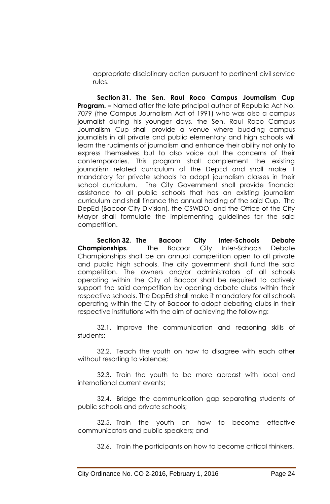appropriate disciplinary action pursuant to pertinent civil service rules.

**Section 31. The Sen. Raul Roco Campus Journalism Cup Program. –** Named after the late principal author of Republic Act No. 7079 (the Campus Journalism Act of 1991) who was also a campus journalist during his younger days, the Sen. Raul Roco Campus Journalism Cup shall provide a venue where budding campus journalists in all private and public elementary and high schools will learn the rudiments of journalism and enhance their ability not only to express themselves but to also voice out the concerns of their contemporaries. This program shall complement the existing journalism related curriculum of the DepEd and shall make it mandatory for private schools to adopt journalism classes in their school curriculum. The City Government shall provide financial assistance to all public schools that has an existing journalism curriculum and shall finance the annual holding of the said Cup. The DepEd (Bacoor City Division), the CSWDO, and the Office of the City Mayor shall formulate the implementing guidelines for the said competition.

**Section 32. The Bacoor City Inter-Schools Debate Championships.** The Bacoor City Inter-Schools Debate Championships shall be an annual competition open to all private and public high schools. The city government shall fund the said competition. The owners and/or administrators of all schools operating within the City of Bacoor shall be required to actively support the said competition by opening debate clubs within their respective schools. The DepEd shall make it mandatory for all schools operating within the City of Bacoor to adopt debating clubs in their respective institutions with the aim of achieving the following:

32.1. Improve the communication and reasoning skills of students;

32.2. Teach the youth on how to disagree with each other without resorting to violence;

32.3. Train the youth to be more abreast with local and international current events;

32.4. Bridge the communication gap separating students of public schools and private schools;

32.5. Train the youth on how to become effective communicators and public speakers; and

32.6. Train the participants on how to become critical thinkers.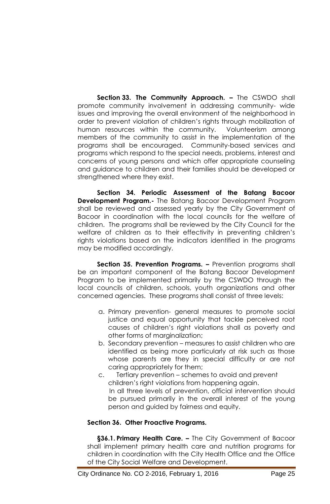**Section 33. The Community Approach. –** The CSWDO shall promote community involvement in addressing community- wide issues and improving the overall environment of the neighborhood in order to prevent violation of children's rights through mobilization of human resources within the community. Volunteerism among members of the community to assist in the implementation of the programs shall be encouraged. Community-based services and programs which respond to the special needs, problems, interest and concerns of young persons and which offer appropriate counseling and guidance to children and their families should be developed or strengthened where they exist.

 **Section 34. Periodic Assessment of the Batang Bacoor Development Program.-** The Batang Bacoor Development Program shall be reviewed and assessed yearly by the City Government of Bacoor in coordination with the local councils for the welfare of children. The programs shall be reviewed by the City Council for the welfare of children as to their effectivity in preventing children's rights violations based on the indicators identified in the programs may be modified accordingly.

**Section 35. Prevention Programs. -** Prevention programs shall be an important component of the Batang Bacoor Development Program to be implemented primarily by the CSWDO through the local councils of children, schools, youth organizations and other concerned agencies. These programs shall consist of three levels:

- a. Primary prevention- general measures to promote social justice and equal opportunity that tackle perceived root causes of children's right violations shall as poverty and other forms of marginalization;
- b. Secondary prevention measures to assist children who are identified as being more particularly at risk such as those whose parents are they in special difficulty or are not caring appropriately for them;
- c. Tertiary prevention schemes to avoid and prevent children's right violations from happening again. In all three levels of prevention, official intervention should be pursued primarily in the overall interest of the young person and guided by fairness and equity.

#### **Section 36. Other Proactive Programs.**

 **§36.1. Primary Health Care. –** The City Government of Bacoor shall implement primary health care and nutrition programs for children in coordination with the City Health Office and the Office of the City Social Welfare and Development.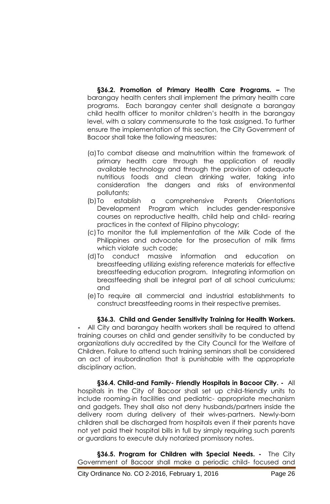**§36.2. Promotion of Primary Health Care Programs. –** The barangay health centers shall implement the primary health care programs. Each barangay center shall designate a barangay child health officer to monitor children's health in the barangay level, with a salary commensurate to the task assigned. To further ensure the implementation of this section, the City Government of Bacoor shall take the following measures:

- (a)To combat disease and malnutrition within the framework of primary health care through the application of readily available technology and through the provision of adequate nutritious foods and clean drinking water, taking into consideration the dangers and risks of environmental pollutants;
- (b)To establish a comprehensive Parents Orientations Development Program which includes gender-responsive courses on reproductive health, child help and child- rearing practices in the context of Filipino phycology;
- (c) To monitor the full implementation of the Milk Code of the Philippines and advocate for the prosecution of milk firms which violate such code;
- (d)To conduct massive information and education on breastfeeding utilizing existing reference materials for effective breastfeeding education program. Integrating information on breastfeeding shall be integral part of all school curriculums; and
- (e) To require all commercial and industrial establishments to construct breastfeeding rooms in their respective premises.

**§36.3. Child and Gender Sensitivity Training for Health Workers. -** All City and barangay health workers shall be required to attend training courses on child and gender sensitivity to be conducted by organizations duly accredited by the City Council for the Welfare of Children. Failure to attend such training seminars shall be considered an act of insubordination that is punishable with the appropriate disciplinary action.

**§36.4. Child-and Family- Friendly Hospitals in Bacoor City. -** All hospitals in the City of Bacoor shall set up child-friendly units to include rooming-in facilities and pediatric- appropriate mechanism and gadgets. They shall also not deny husbands/partners inside the delivery room during delivery of their wives-partners. Newly-born children shall be discharged from hospitals even if their parents have not yet paid their hospital bills in full by simply requiring such parents or guardians to execute duly notarized promissory notes.

**§36.5. Program for Children with Special Needs. -** The City Government of Bacoor shall make a periodic child- focused and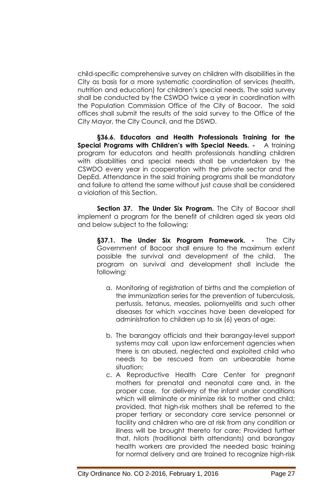child-specific comprehensive survey on children with disabilities in the City as basis for a more systematic coordination of services (health, nutrition and education) for children's special needs. The said survey shall be conducted by the CSWDO twice a year in coordination with the Population Commission Office of the City of Bacoor. The said offices shall submit the results of the said survey to the Office of the City Mayor, the City Council, and the DSWD.

 **§36.6. Educators and Health Professionals Training for the Special Programs with Children's with Special Needs. -** A training program for educators and health professionals handling children with disabilities and special needs shall be undertaken by the CSWDO every year in cooperation with the private sector and the DepEd. Attendance in the said training programs shall be mandatory and failure to attend the same without just cause shall be considered a violation of this Section.

Section 37. The Under Six Program. The City of Bacoor shall implement a program for the benefit of children aged six years old and below subject to the following:

**§37.1. The Under Six Program Framework. -** The City Government of Bacoor shall ensure to the maximum extent possible the survival and development of the child. The program on survival and development shall include the following:

- a. Monitoring of registration of births and the completion of the immunization series for the prevention of tuberculosis, pertussis, tetanus, measles, poliomyelitis and such other diseases for which vaccines have been developed for administration to children up to six (6) years of age;
- b. The barangay officials and their barangay-level support systems may call upon law enforcement agencies when there is an abused, neglected and exploited child who needs to be rescued from an unbearable home situation;
- c. A Reproductive Health Care Center for pregnant mothers for prenatal and neonatal care and, in the proper case, for delivery of the infant under conditions which will eliminate or minimize risk to mother and child; provided, that high-risk mothers shall be referred to the proper tertiary or secondary care service personnel or facility and children who are at risk from any condition or illness will be brought thereto for care; Provided further that, *hilots* (traditional birth attendants) and barangay health workers are provided the needed basic training for normal delivery and are trained to recognize high-risk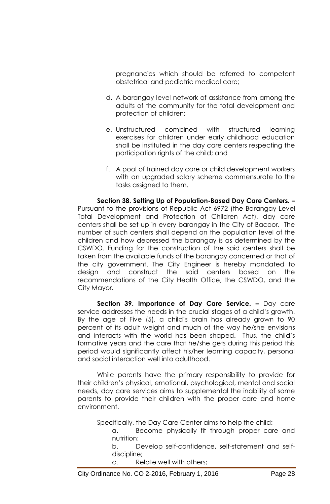pregnancies which should be referred to competent obstetrical and pediatric medical care;

- d. A barangay level network of assistance from among the adults of the community for the total development and protection of children;
- e. Unstructured combined with structured learning exercises for children under early childhood education shall be instituted in the day care centers respecting the participation rights of the child; and
- f. A pool of trained day care or child development workers with an upgraded salary scheme commensurate to the tasks assigned to them.

 **Section 38. Setting Up of Population-Based Day Care Centers. –** Pursuant to the provisions of Republic Act 6972 (the Barangay-Level Total Development and Protection of Children Act), day care centers shall be set up in every barangay in the City of Bacoor. The number of such centers shall depend on the population level of the children and how depressed the barangay is as determined by the CSWDO. Funding for the construction of the said centers shall be taken from the available funds of the barangay concerned or that of the city government. The City Engineer is hereby mandated to design and construct the said centers based on the recommendations of the City Health Office, the CSWDO, and the City Mayor.

 **Section 39. Importance of Day Care Service. –** Day care service addresses the needs in the crucial stages of a child's growth. By the age of Five (5), a child's brain has already grown to 90 percent of its adult weight and much of the way he/she envisions and interacts with the world has been shaped. Thus, the child's formative years and the care that he/she gets during this period this period would significantly affect his/her learning capacity, personal and social interaction well into adulthood.

 While parents have the primary responsibility to provide for their children's physical, emotional, psychological, mental and social needs, day care services aims to supplemental the inability of some parents to provide their children with the proper care and home environment.

Specifically, the Day Care Center aims to help the child:

a. Become physically fit through proper care and nutrition:

b. Develop self-confidence, self-statement and selfdiscipline;

c. Relate well with others;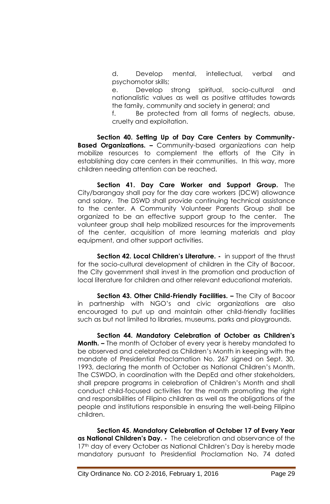d. Develop mental, intellectual, verbal and psychomotor skills;

e. Develop strong spiritual, socio-cultural and nationalistic values as well as positive attitudes towards the family, community and society in general; and

f. Be protected from all forms of neglects, abuse, cruelty and exploitation.

 **Section 40. Setting Up of Day Care Centers by Community-Based Organizations. –** Community-based organizations can help mobilize resources to complement the efforts of the City in establishing day care centers in their communities. In this way, more children needing attention can be reached.

 **Section 41. Day Care Worker and Support Group.** The City/barangay shall pay for the day care workers (DCW) allowance and salary. The DSWD shall provide continuing technical assistance to the center. A Community Volunteer Parents Group shall be organized to be an effective support group to the center. The volunteer group shall help mobilized resources for the improvements of the center, acquisition of more learning materials and play equipment, and other support activities.

 **Section 42. Local Children's Literature. -** in support of the thrust for the socio-cultural development of children in the City of Bacoor, the City government shall invest in the promotion and production of local literature for children and other relevant educational materials.

 **Section 43. Other Child-Friendly Facilities. –** The City of Bacoor in partnership with NGO's and civic organizations are also encouraged to put up and maintain other child-friendly facilities such as but not limited to libraries, museums, parks and playgrounds.

 **Section 44. Mandatory Celebration of October as Children's Month. –** The month of October of every year is hereby mandated to be observed and celebrated as Children's Month in keeping with the mandate of Presidential Proclamation No. 267 signed on Sept. 30, 1993, declaring the month of October as National Children's Month. The CSWDO, in coordination with the DepEd and other stakeholders, shall prepare programs in celebration of Children's Month and shall conduct child-focused activities for the month promoting the right and responsibilities of Filipino children as well as the obligations of the people and institutions responsible in ensuring the well-being Filipino children.

 **Section 45. Mandatory Celebration of October 17 of Every Year as National Children's Day. -** The celebration and observance of the 17<sup>th</sup> day of every October as National Children's Day is hereby made mandatory pursuant to Presidential Proclamation No. 74 dated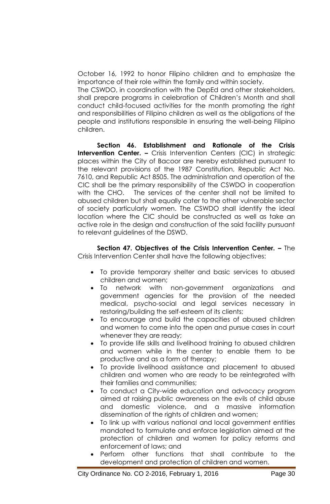October 16, 1992 to honor Filipino children and to emphasize the importance of their role within the family and within society.

The CSWDO, in coordination with the DepEd and other stakeholders, shall prepare programs in celebration of Children's Month and shall conduct child-focused activities for the month promoting the right and responsibilities of Filipino children as well as the obligations of the people and institutions responsible in ensuring the well-being Filipino children.

 **Section 46. Establishment and Rationale of the Crisis Intervention Center. –** Crisis Intervention Centers (CIC) in strategic places within the City of Bacoor are hereby established pursuant to the relevant provisions of the 1987 Constitution, Republic Act No. 7610, and Republic Act 8505. The administration and operation of the CIC shall be the primary responsibility of the CSWDO in cooperation with the CHO. The services of the center shall not be limited to abused children but shall equally cater to the other vulnerable sector of society particularly women. The CSWDO shall identify the ideal location where the CIC should be constructed as well as take an active role in the design and construction of the said facility pursuant to relevant guidelines of the DSWD.

 **Section 47. Objectives of the Crisis Intervention Center. –** The Crisis Intervention Center shall have the following objectives:

- To provide temporary shelter and basic services to abused children and women;
- To network with non-government organizations and government agencies for the provision of the needed medical, psycho-social and legal services necessary in restoring/building the self-esteem of its clients;
- To encourage and build the capacities of abused children and women to come into the open and pursue cases in court whenever they are ready;
- To provide life skills and livelihood training to abused children and women while in the center to enable them to be productive and as a form of therapy;
- To provide livelihood assistance and placement to abused children and women who are ready to be reintegrated with their families and communities;
- To conduct a City-wide education and advocacy program aimed at raising public awareness on the evils of child abuse and domestic violence, and a massive information dissemination of the rights of children and women;
- To link up with various national and local government entities mandated to formulate and enforce legislation aimed at the protection of children and women for policy reforms and enforcement of laws; and
- Perform other functions that shall contribute to the development and protection of children and women.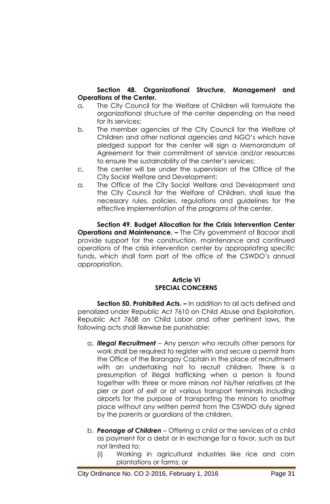## **Section 48. Organizational Structure, Management and Operations of the Center.**

- a. The City Council for the Welfare of Children will formulate the organizational structure of the center depending on the need for its services;
- b. The member agencies of the City Council for the Welfare of Children and other national agencies and NGO's which have pledged support for the center will sign a Memorandum of Agreement for their commitment of service and/or resources to ensure the sustainability of the center's services;
- c. The center will be under the supervision of the Office of the City Social Welfare and Development;
- a. The Office of the City Social Welfare and Development and the City Council for the Welfare of Children, shall issue the necessary rules, policies, regulations and guidelines for the effective implementation of the programs of the center.

 **Section 49. Budget Allocation for the Crisis Intervention Center Operations and Maintenance. –** The City government of Bacoor shall provide support for the construction, maintenance and continued operations of the crisis intervention center by appropriating specific funds, which shall form part of the office of the CSWDO's annual appropriation.

#### **Article VI SPECIAL CONCERNS**

 **Section 50. Prohibited Acts. –** In addition to all acts defined and penalized under Republic Act 7610 on Child Abuse and Exploitation, Republic Act 7658 on Child Labor and other pertinent laws, the following acts shall likewise be punishable:

- a. *Illegal Recruitment –* Any person who recruits other persons for work shall be required to register with and secure a permit from the Office of the Barangay Captain in the place of recruitment with an undertaking not to recruit children. There is a presumption of illegal trafficking when a person is found together with three or more minors not his/her relatives at the pier or port of exit or at various transport terminals including airports for the purpose of transporting the minors to another place without any written permit from the CSWDO duly signed by the parents or guardians of the children.
- b. *Peonage of Children* Offering a child or the services of a child as payment for a debt or in exchange for a favor, such as but not limited to:
	- (i) Working in agricultural industries like rice and corn plantations or farms; or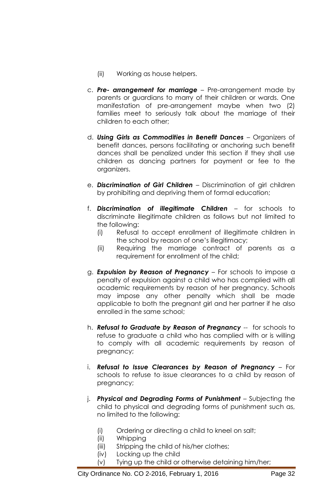- (ii) Working as house helpers.
- c. *Pre- arrangement for marriage* Pre-arrangement made by parents or guardians to marry of their children or wards. One manifestation of pre-arrangement maybe when two (2) families meet to seriously talk about the marriage of their children to each other;
- d. *Using Girls as Commodities in Benefit Dances –* Organizers of benefit dances, persons facilitating or anchoring such benefit dances shall be penalized under this section if they shall use children as dancing partners for payment or fee to the organizers.
- e. *Discrimination of Girl Children –* Discrimination of girl children by prohibiting and depriving them of formal education;
- f. *Discrimination of illegitimate Children –* for schools to discriminate illegitimate children as follows but not limited to the following:
	- (i) Refusal to accept enrollment of illegitimate children in the school by reason of one's illegitimacy;
	- (ii) Requiring the marriage contract of parents as a requirement for enrollment of the child;
- g. *Expulsion by Reason of Pregnancy* For schools to impose a penalty of expulsion against a child who has complied with all academic requirements by reason of her pregnancy. Schools may impose any other penalty which shall be made applicable to both the pregnant girl and her partner if he also enrolled in the same school;
- h. *Refusal to Graduate by Reason of Pregnancy --* for schools to refuse to graduate a child who has complied with or is willing to comply with all academic requirements by reason of pregnancy;
- i. *Refusal to Issue Clearances by Reason of Pregnancy* For schools to refuse to issue clearances to a child by reason of pregnancy;
- j. *Physical and Degrading Forms of Punishment* Subjecting the child to physical and degrading forms of punishment such as, no limited to the following:
	- (i) Ordering or directing a child to kneel on salt;
	- (ii) Whipping
	- (iii) Stripping the child of his/her clothes;
	- (iv) Locking up the child
	- (v) Tying up the child or otherwise detaining him/her;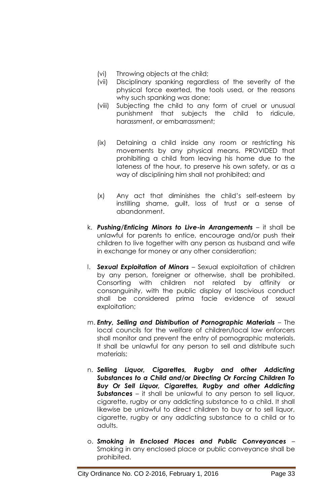- (vi) Throwing objects at the child;
- (vii) Disciplinary spanking regardless of the severity of the physical force exerted, the tools used, or the reasons why such spanking was done;
- (viii) Subjecting the child to any form of cruel or unusual punishment that subjects the child to ridicule, harassment, or embarrassment;
- (ix) Detaining a child inside any room or restricting his movements by any physical means. PROVIDED that prohibiting a child from leaving his home due to the lateness of the hour, to preserve his own safety, or as a way of disciplining him shall not prohibited; and
- (x) Any act that diminishes the child's self-esteem by instilling shame, guilt, loss of trust or a sense of abandonment.
- k. *Pushing/Enticing Minors to Live-in Arrangements* it shall be unlawful for parents to entice, encourage and/or push their children to live together with any person as husband and wife in exchange for money or any other consideration;
- l. *Sexual Exploitation of Minors* Sexual exploitation of children by any person, foreigner or otherwise, shall be prohibited. Consorting with children not related by affinity or consanguinity, with the public display of lascivious conduct shall be considered prima facie evidence of sexual exploitation;
- m. *Entry, Selling and Distribution of Pornographic Materials –* The local councils for the welfare of children/local law enforcers shall monitor and prevent the entry of pornographic materials. It shall be unlawful for any person to sell and distribute such materials;
- n. *Selling Liquor, Cigarettes, Rugby and other Addicting Substances to a Child and/or Directing Or Forcing Children To Buy Or Sell Liquor, Cigarettes, Rugby and other Addicting Substances* – it shall be unlawful to any person to sell liquor, cigarette, rugby or any addicting substance to a child. It shall likewise be unlawful to direct children to buy or to sell liquor, cigarette, rugby or any addicting substance to a child or to adults.
- o. *Smoking in Enclosed Places and Public Conveyances* Smoking in any enclosed place or public conveyance shall be prohibited.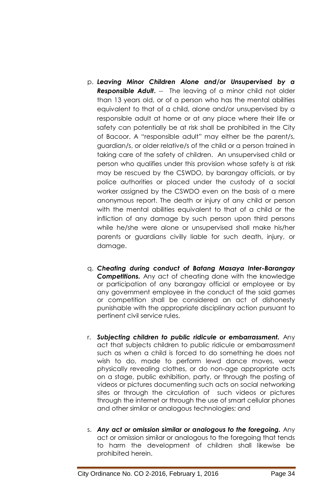- p. *Leaving Minor Children Alone and/or Unsupervised by a Responsible Adult***.** -- The leaving of a minor child not older than 13 years old, or of a person who has the mental abilities equivalent to that of a child, alone and/or unsupervised by a responsible adult at home or at any place where their life or safety can potentially be at risk shall be prohibited in the City of Bacoor. A "responsible adult" may either be the parent/s, guardian/s, or older relative/s of the child or a person trained in taking care of the safety of children. An unsupervised child or person who qualifies under this provision whose safety is at risk may be rescued by the CSWDO, by barangay officials, or by police authorities or placed under the custody of a social worker assigned by the CSWDO even on the basis of a mere anonymous report. The death or injury of any child or person with the mental abilities equivalent to that of a child or the infliction of any damage by such person upon third persons while he/she were alone or unsupervised shall make his/her parents or guardians civilly liable for such death, injury, or damage.
- q. *Cheating during conduct of Batang Masaya Inter-Barangay Competitions.* Any act of cheating done with the knowledge or participation of any barangay official or employee or by any government employee in the conduct of the said games or competition shall be considered an act of dishonesty punishable with the appropriate disciplinary action pursuant to pertinent civil service rules.
- r. *Subjecting children to public ridicule or embarrassment.* Any act that subjects children to public ridicule or embarrassment such as when a child is forced to do something he does not wish to do, made to perform lewd dance moves, wear physically revealing clothes, or do non-age appropriate acts on a stage, public exhibition, party, or through the posting of videos or pictures documenting such acts on social networking sites or through the circulation of such videos or pictures through the internet or through the use of smart cellular phones and other similar or analogous technologies; and
- s. *Any act or omission similar or analogous to the foregoing.* Any act or omission similar or analogous to the foregoing that tends to harm the development of children shall likewise be prohibited herein.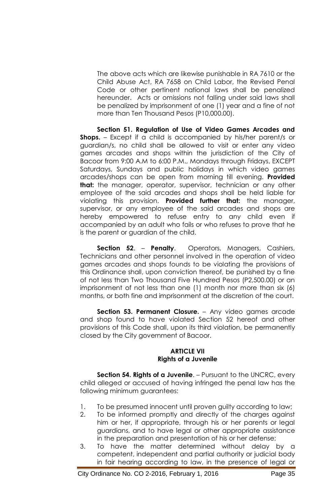The above acts which are likewise punishable in RA 7610 or the Child Abuse Act, RA 7658 on Child Labor, the Revised Penal Code or other pertinent national laws shall be penalized hereunder. Acts or omissions not falling under said laws shall be penalized by imprisonment of one (1) year and a fine of not more than Ten Thousand Pesos (P10,000.00).

 **Section 51. Regulation of Use of Video Games Arcades and Shops.** – Except if a child is accompanied by his/her parent/s or guardian/s, no child shall be allowed to visit or enter any video games arcades and shops within the jurisdiction of the City of Bacoor from 9:00 A.M to 6:00 P.M., Mondays through Fridays, EXCEPT Saturdays, Sundays and public holidays in which video games arcades/shops can be open from morning till evening. **Provided that:** the manager, operator, supervisor, technician or any other employee of the said arcades and shops shall be held liable for violating this provision. **Provided further that:** the manager, supervisor, or any employee of the said arcades and shops are hereby empowered to refuse entry to any child even if accompanied by an adult who fails or who refuses to prove that he is the parent or guardian of the child.

 **Section 52**. – **Penalty**. Operators, Managers, Cashiers, Technicians and other personnel involved in the operation of video games arcades and shops founds to be violating the provisions of this Ordinance shall, upon conviction thereof, be punished by a fine of not less than Two Thousand Five Hundred Pesos (P2,500.00) or an imprisonment of not less than one (1) month nor more than six (6) months, or both fine and imprisonment at the discretion of the court.

 **Section 53. Permanent Closure.** – Any video games arcade and shop found to have violated Section 52 hereof and other provisions of this Code shall, upon its third violation, be permanently closed by the City government of Bacoor.

#### **ARTICLE VII Rights of a Juvenile**

**Section 54. Rights of a Juvenile.** – Pursuant to the UNCRC, every child alleged or accused of having infringed the penal law has the following minimum guarantees:

- 1. To be presumed innocent until proven guilty according to law;
- 2. To be informed promptly and directly of the charges against him or her, if appropriate, through his or her parents or legal guardians, and to have legal or other appropriate assistance in the preparation and presentation of his or her defense;
- 3. To have the matter determined without delay by a competent, independent and partial authority or judicial body in fair hearing according to law, in the presence of legal or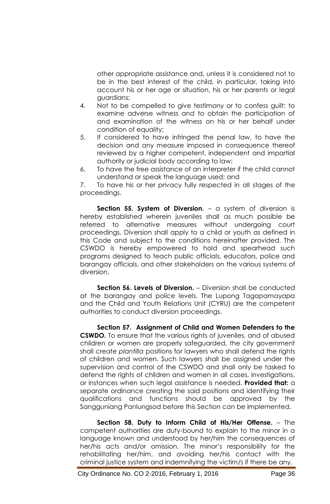other appropriate assistance and, unless it is considered not to be in the best interest of the child, in particular, taking into account his or her age or situation, his or her parents or legal guardians;

- 4. Not to be compelled to give testimony or to confess guilt; to examine adverse witness and to obtain the participation of and examination of the witness on his or her behalf under condition of equality;
- 5. If considered to have infringed the penal law, to have the decision and any measure imposed in consequence thereof reviewed by a higher competent, independent and impartial authority or judicial body according to law;
- 6. To have the free assistance of an interpreter if the child cannot understand or speak the language used; and

7. To have his or her privacy fully respected in all stages of the proceedings.

**Section 55. System of Diversion.** – a system of diversion is hereby established wherein juveniles shall as much possible be referred to alternative measures without undergoing court proceedings. Diversion shall apply to a child or youth as defined in this Code and subject to the conditions hereinafter provided. The CSWDO is hereby empowered to hold and spearhead such programs designed to teach public officials, educators, police and barangay officials, and other stakeholders on the various systems of diversion.

**Section 56. Levels of Diversion.** – Diversion shall be conducted at the barangay and police levels. The Lupong Tagapamayapa and the Child and Youth Relations Unit (CYRU) are the competent authorities to conduct diversion proceedings.

**Section 57. Assignment of Child and Women Defenders to the CSWDO.** To ensure that the various rights of juveniles, and of abused children or women are properly safeguarded, the city government shall create *plantilla* positions for lawyers who shall defend the rights of children and women. Such lawyers shall be assigned under the supervision and control of the CSWDO and shall only be tasked to defend the rights of children and women in all cases, investigations, or instances when such legal assistance is needed. **Provided that:** a separate ordinance creating the said positions and identifying their qualifications and functions should be approved by the Sangguniang Panlungsod before this Section can be implemented.

 **Section 58. Duty to Inform Child of His/Her Offense.** – The competent authorities are duty-bound to explain to the minor in a language known and understood by her/him the consequences of her/his acts and/or omission. The minor's responsibility for the rehabilitating her/him, and avoiding her/his contact with the criminal justice system and indemnifying the victim/s if there be any.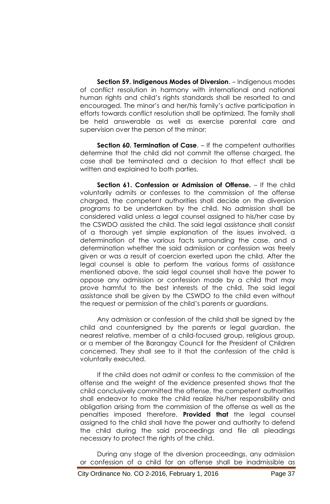**Section 59. Indigenous Modes of Diversion**. – Indigenous modes of conflict resolution in harmony with international and national human rights and child's rights standards shall be resorted to and encouraged. The minor's and her/his family's active participation in efforts towards conflict resolution shall be optimized. The family shall be held answerable as well as exercise parental care and supervision over the person of the minor;

**Section 60. Termination of Case.** – If the competent authorities determine that the child did not commit the offense charged, the case shall be terminated and a decision to that effect shall be written and explained to both parties.

 **Section 61. Confession or Admission of Offense.** – If the child voluntarily admits or confesses to the commission of the offense charged, the competent authorities shall decide on the diversion programs to be undertaken by the child. No admission shall be considered valid unless a legal counsel assigned to his/her case by the CSWDO assisted the child. The said legal assistance shall consist of a thorough yet simple explanation of the issues involved, a determination of the various facts surrounding the case, and a determination whether the said admission or confession was freely given or was a result of coercion exerted upon the child. After the legal counsel is able to perform the various forms of assistance mentioned above, the said legal counsel shall have the power to oppose any admission or confession made by a child that may prove harmful to the best interests of the child. The said legal assistance shall be given by the CSWDO to the child even without the request or permission of the child's parents or guardians.

 Any admission or confession of the child shall be signed by the child and countersigned by the parents or legal guardian, the nearest relative, member of a child-focused group, religious group, or a member of the Barangay Council for the President of Children concerned. They shall see to it that the confession of the child is voluntarily executed.

 If the child does not admit or confess to the commission of the offense and the weight of the evidence presented shows that the child conclusively committed the offense, the competent authorities shall endeavor to make the child realize his/her responsibility and obligation arising from the commission of the offense as well as the penalties imposed therefore. **Provided that** the legal counsel assigned to the child shall have the power and authority to defend the child during the said proceedings and file all pleadings necessary to protect the rights of the child.

 During any stage of the diversion proceedings, any admission or confession of a child for an offense shall be inadmissible as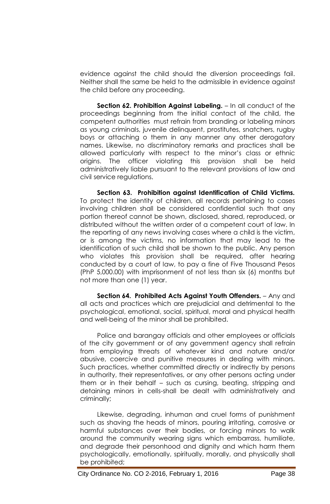evidence against the child should the diversion proceedings fail. Neither shall the same be held to the admissible in evidence against the child before any proceeding.

**Section 62. Prohibition Against Labeling.** – In all conduct of the proceedings beginning from the initial contact of the child, the competent authorities must refrain from branding or labeling minors as young criminals, juvenile delinquent, prostitutes, snatchers, rugby boys or attaching o them in any manner any other derogatory names. Likewise, no discriminatory remarks and practices shall be allowed particularly with respect to the minor's class or ethnic origins. The officer violating this provision shall be held administratively liable pursuant to the relevant provisions of law and civil service regulations.

**Section 63. Prohibition against Identification of Child Victims.**  To protect the identity of children, all records pertaining to cases involving children shall be considered confidential such that any portion thereof cannot be shown, disclosed, shared, reproduced, or distributed without the written order of a competent court of law. In the reporting of any news involving cases where a child is the victim, or is among the victims, no information that may lead to the identification of such child shall be shown to the public. Any person who violates this provision shall be required, after hearing conducted by a court of law, to pay a fine of Five Thousand Pesos (PhP 5,000.00) with imprisonment of not less than six (6) months but not more than one (1) year.

 **Section 64. Prohibited Acts Against Youth Offenders.** – Any and all acts and practices which are prejudicial and detrimental to the psychological, emotional, social, spiritual, moral and physical health and well-being of the minor shall be prohibited.

 Police and barangay officials and other employees or officials of the city government or of any government agency shall refrain from employing threats of whatever kind and nature and/or abusive, coercive and punitive measures in dealing with minors. Such practices, whether committed directly or indirectly by persons in authority, their representatives, or any other persons acting under them or in their behalf – such as cursing, beating, stripping and detaining minors in cells-shall be dealt with administratively and criminally;

 Likewise, degrading, inhuman and cruel forms of punishment such as shaving the heads of minors, pouring irritating, corrosive or harmful substances over their bodies, or forcing minors to walk around the community wearing signs which embarrass, humiliate, and degrade their personhood and dignity and which harm them psychologically, emotionally, spiritually, morally, and physically shall be prohibited;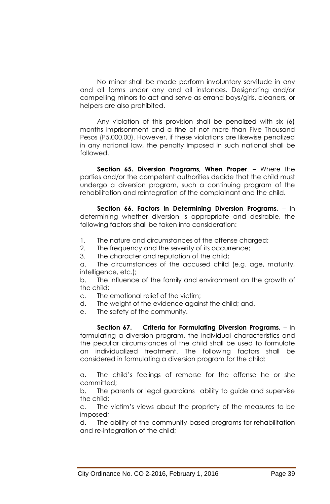No minor shall be made perform involuntary servitude in any and all forms under any and all instances. Designating and/or compelling minors to act and serve as errand boys/girls, cleaners, or helpers are also prohibited.

 Any violation of this provision shall be penalized with six (6) months imprisonment and a fine of not more than Five Thousand Pesos (P5,000.00). However, if these violations are likewise penalized in any national law, the penalty Imposed in such national shall be followed.

 **Section 65. Diversion Programs, When Proper**. – Where the parties and/or the competent authorities decide that the child must undergo a diversion program, such a continuing program of the rehabilitation and reintegration of the complainant and the child.

 **Section 66. Factors in Determining Diversion Programs**. – In determining whether diversion is appropriate and desirable, the following factors shall be taken into consideration:

- 1. The nature and circumstances of the offense charged;
- 2. The frequency and the severity of its occurrence;
- 3. The character and reputation of the child;

a. The circumstances of the accused child (e.g. age, maturity, intelligence, etc.);

b. The influence of the family and environment on the growth of the child;

- c. The emotional relief of the victim;
- d. The weight of the evidence against the child; and,
- e. The safety of the community.

 **Section 67. Criteria for Formulating Diversion Programs.** – In formulating a diversion program, the individual characteristics and the peculiar circumstances of the child shall be used to formulate an individualized treatment. The following factors shall be considered in formulating a diversion program for the child:

a. The child's feelings of remorse for the offense he or she committed;

b. The parents or legal guardians ability to guide and supervise the child;

c. The victim's views about the propriety of the measures to be imposed;

d. The ability of the community-based programs for rehabilitation and re-integration of the child;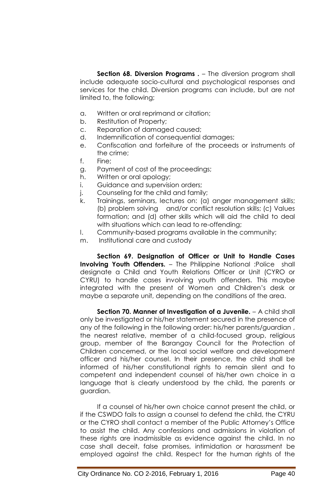**Section 68. Diversion Programs .** – The diversion program shall include adequate socio-cultural and psychological responses and services for the child. Diversion programs can include, but are not limited to, the following;

- a. Written or oral reprimand or citation;
- b. Restitution of Property;
- c. Reparation of damaged caused;
- d. Indemnification of consequential damages;
- e. Confiscation and forfeiture of the proceeds or instruments of the crime;
- f. Fine;
- g. Payment of cost of the proceedings;
- h. Written or oral apology;
- i. Guidance and supervision orders;
- j. Counseling for the child and family;
- k. Trainings, seminars, lectures on: (a) anger management skills; (b) problem solving and/or conflict resolution skills; (c) Values formation; and (d) other skills which will aid the child to deal with situations which can lead to re-offending;
- l. Community-based programs available in the community;
- m. Institutional care and custody

 **Section 69. Designation of Officer or Unit to Handle Cases Involving Youth Offenders.** – The Philippine National :Police shall designate a Child and Youth Relations Officer or Unit (CYRO or CYRU) to handle cases involving youth offenders. This maybe integrated with the present of Women and Children's desk or maybe a separate unit, depending on the conditions of the area.

 **Section 70. Manner of Investigation of a Juvenile.** – A child shall only be investigated or his/her statement secured in the presence of any of the following in the following order: his/her parents/guardian , the nearest relative, member of a child-focused group, religious group, member of the Barangay Council for the Protection of Children concerned, or the local social welfare and development officer and his/her counsel. In their presence, the child shall be informed of his/her constitutional rights to remain silent and to competent and independent counsel of his/her own choice in a language that is clearly understood by the child, the parents or guardian.

 If a counsel of his/her own choice cannot present the child, or if the CSWDO fails to assign a counsel to defend the child, the CYRU or the CYRO shall contact a member of the Public Attorney's Office to assist the child. Any confessions and admissions in violation of these rights are inadmissible as evidence against the child. In no case shall deceit, false promises, intimidation or harassment be employed against the child. Respect for the human rights of the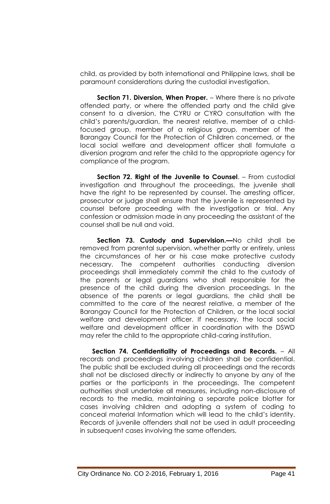child, as provided by both international and Philippine laws, shall be paramount considerations during the custodial investigation.

**Section 71. Diversion, When Proper.** – Where there is no private offended party, or where the offended party and the child give consent to a diversion, the CYRU or CYRO consultation with the child's parents/guardian, the nearest relative, member of a childfocused group, member of a religious group, member of the Barangay Council for the Protection of Children concerned, or the local social welfare and development officer shall formulate a diversion program and refer the child to the appropriate agency for compliance of the program.

 **Section 72. Right of the Juvenile to Counsel**. – From custodial investigation and throughout the proceedings, the juvenile shall have the right to be represented by counsel. The arresting officer, prosecutor or judge shall ensure that the juvenile is represented by counsel before proceeding with the investigation or trial. Any confession or admission made in any proceeding the assistant of the counsel shall be null and void.

 **Section 73. Custody and Supervision.—**No child shall be removed from parental supervision, whether partly or entirely, unless the circumstances of her or his case make protective custody necessary. The competent authorities conducting diversion proceedings shall immediately commit the child to the custody of the parents or legal guardians who shall responsible for the presence of the child during the diversion proceedings. In the absence of the parents or legal guardians, the child shall be committed to the care of the nearest relative, a member of the Barangay Council for the Protection of Children, or the local social welfare and development officer. If necessary, the local social welfare and development officer in coordination with the DSWD may refer the child to the appropriate child-caring institution.

 **Section 74. Confidentiality of Proceedings and Records.** – All records and proceedings involving children shall be confidential. The public shall be excluded during all proceedings and the records shall not be disclosed directly or indirectly to anyone by any of the parties or the participants in the proceedings. The competent authorities shall undertake all measures, including non-disclosure of records to the media, maintaining a separate police blotter for cases involving children and adopting a system of coding to conceal material Information which will lead to the child's identity. Records of juvenile offenders shall not be used in adult proceeding in subsequent cases involving the same offenders.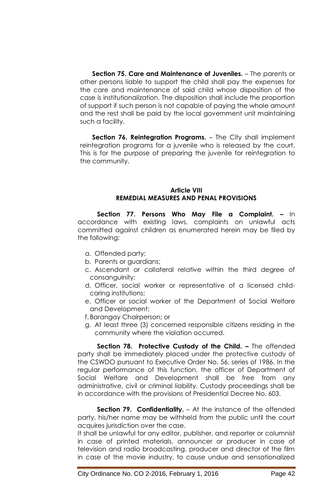**Section 75. Care and Maintenance of Juveniles.** – The parents or other persons liable to support the child shall pay the expenses for the care and maintenance of said child whose disposition of the case is institutionalization. The disposition shall include the proportion of support if such person is not capable of paying the whole amount and the rest shall be paid by the local government unit maintaining such a facility.

**Section 76. Reintegration Programs.** - The City shall implement reintegration programs for a juvenile who is released by the court. This is for the purpose of preparing the juvenile for reintegration to the community.

#### **Article VIII REMEDIAL MEASURES AND PENAL PROVISIONS**

 **Section 77. Persons Who May File a Complaint. –** In accordance with existing laws, complaints on unlawful acts committed against children as enumerated herein may be filed by the following:

- a. Offended party;
- b. Parents or guardians;
- c. Ascendant or collateral relative within the third degree of consanguinity;
- d. Officer, social worker or representative of a licensed childcaring institutions;
- e. Officer or social worker of the Department of Social Welfare and Development;
- f. Barangay Chairperson; or
- g. At least three (3) concerned responsible citizens residing in the community where the violation occurred.

 **Section 78. Protective Custody of the Child. –** The offended party shall be immediately placed under the protective custody of the CSWDO pursuant to Executive Order No. 56, series of 1986. In the regular performance of this function, the officer of Department of Social Welfare and Development shall be free from any administrative, civil or criminal liability. Custody proceedings shall be in accordance with the provisions of Presidential Decree No. 603.

 **Section 79. Confidentiality.** – At the instance of the offended party, his/her name may be withheld from the public until the court acquires jurisdiction over the case.

It shall be unlawful for any editor, publisher, and reporter or columnist in case of printed materials, announcer or producer in case of television and radio broadcasting, producer and director of the film in case of the movie industry, to cause undue and sensationalized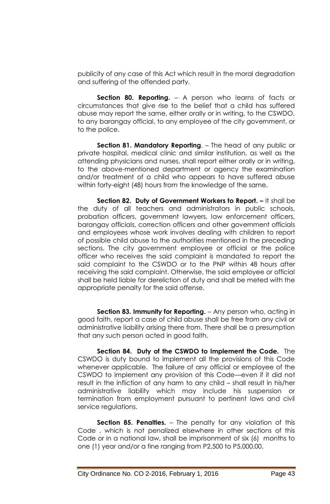publicity of any case of this Act which result in the moral degradation and suffering of the offended party.

 **Section 80. Reporting.** – A person who learns of facts or circumstances that give rise to the belief that a child has suffered abuse may report the same, either orally or in writing, to the CSWDO, to any barangay official, to any employee of the city government, or to the police.

 **Section 81. Mandatory Reporting**. – The head of any public or private hospital, medical clinic and similar institution, as well as the attending physicians and nurses, shall report either orally or in writing, to the above-mentioned department or agency the examination and/or treatment of a child who appears to have suffered abuse within forty-eight (48) hours from the knowledge of the same.

**Section 82. Duty of Government Workers to Report.**  $-$  **It shall be** the duty of all teachers and administrators in public schools, probation officers, government lawyers, law enforcement officers, barangay officials, correction officers and other government officials and employees whose work involves dealing with children to report of possible child abuse to the authorities mentioned in the preceding sections. The city government employee or official or the police officer who receives the said complaint is mandated to report the said complaint to the CSWDO or to the PNP within 48 hours after receiving the said complaint. Otherwise, the said employee or official shall be held liable for dereliction of duty and shall be meted with the appropriate penalty for the said offense.

**Section 83. Immunity for Reporting.** – Any person who, acting in good faith, report a case of child abuse shall be free from any civil or administrative liability arising there from. There shall be a presumption that any such person acted in good faith.

**Section 84. Duty of the CSWDO to Implement the Code.** The CSWDO is duty bound to implement all the provisions of this Code whenever applicable. The failure of any official or employee of the CSWDO to implement any provision of this Code—even if it did not result in the infliction of any harm to any child – shall result in his/her administrative liability which may include his suspension or termination from employment pursuant to pertinent laws and civil service regulations.

**Section 85. Penalties.** – The penalty for any violation of this Code , which is not penalized elsewhere in other sections of this Code or in a national law, shall be imprisonment of six (6) months to one (1) year and/or a fine ranging from P2,500 to P5,000.00.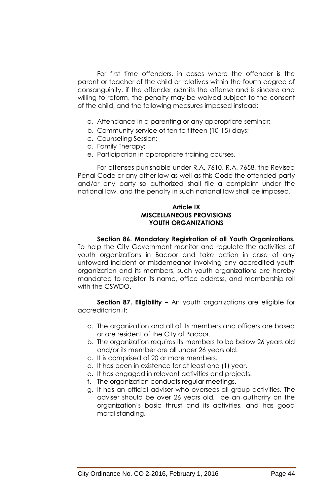For first time offenders, in cases where the offender is the parent or teacher of the child or relatives within the fourth degree of consanguinity, if the offender admits the offense and is sincere and willing to reform, the penalty may be waived subject to the consent of the child, and the following measures imposed instead:

- a. Attendance in a parenting or any appropriate seminar;
- b. Community service of ten to fifteen (10-15) days;
- c. Counseling Session;
- d. Family Therapy;
- e. Participation in appropriate training courses.

 For offenses punishable under R.A. 7610, R.A. 7658, the Revised Penal Code or any other law as well as this Code the offended party and/or any party so authorized shall file a complaint under the national law, and the penalty in such national law shall be imposed.

#### **Article IX MISCELLANEOUS PROVISIONS YOUTH ORGANIZATIONS**

#### **Section 86. Mandatory Registration of all Youth Organizations.**

To help the City Government monitor and regulate the activities of youth organizations in Bacoor and take action in case of any untoward incident or misdemeanor involving any accredited youth organization and its members, such youth organizations are hereby mandated to register its name, office address, and membership roll with the CSWDO.

 **Section 87. Eligibility –** An youth organizations are eligible for accreditation if:

- a. The organization and all of its members and officers are based or are resident of the City of Bacoor.
- b. The organization requires its members to be below 26 years old and/or its member are all under 26 years old.
- c. It is comprised of 20 or more members.
- d. It has been in existence for at least one (1) year.
- e. It has engaged in relevant activities and projects.
- f. The organization conducts regular meetings.
- g. It has an official adviser who oversees all group activities. The adviser should be over 26 years old, be an authority on the organization's basic thrust and its activities, and has good moral standing.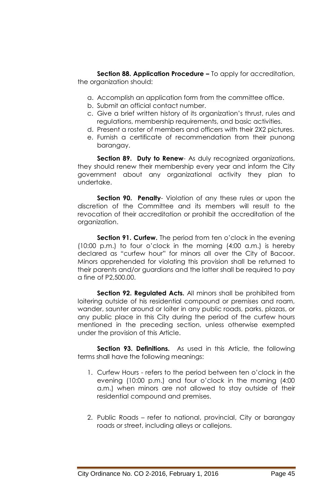**Section 88. Application Procedure –** To apply for accreditation, the organization should:

- a. Accomplish an application form from the committee office.
- b. Submit an official contact number.
- c. Give a brief written history of its organization's thrust, rules and regulations, membership requirements, and basic activities.
- d. Present a roster of members and officers with their 2X2 pictures.
- e. Furnish a certificate of recommendation from their punong barangay.

**Section 89. Duty to Renew-As duly recognized organizations,** they should renew their membership every year and inform the City government about any organizational activity they plan to undertake.

**Section 90. Penalty**- Violation of any these rules or upon the discretion of the Committee and its members will result to the revocation of their accreditation or prohibit the accreditation of the organization.

**Section 91. Curfew.** The period from ten o'clock in the evening (10:00 p.m.) to four o'clock in the morning (4:00 a.m.) is hereby declared as "curfew hour" for minors all over the City of Bacoor. Minors apprehended for violating this provision shall be returned to their parents and/or guardians and the latter shall be required to pay a fine of P2,500.00.

**Section 92. Regulated Acts.** All minors shall be prohibited from loitering outside of his residential compound or premises and roam, wander, saunter around or loiter in any public roads, parks, plazas, or any public place in this City during the period of the curfew hours mentioned in the preceding section, unless otherwise exempted under the provision of this Article.

 **Section 93. Definitions.** As used in this Article, the following terms shall have the following meanings:

- 1. Curfew Hours refers to the period between ten o'clock in the evening (10:00 p.m.) and four o'clock in the morning (4:00 a.m.) when minors are not allowed to stay outside of their residential compound and premises.
- 2. Public Roads refer to national, provincial, City or barangay roads or street, including alleys or callejons.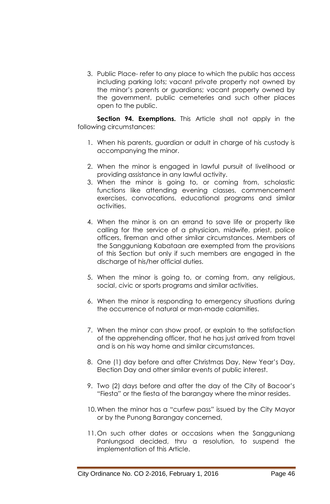3. Public Place- refer to any place to which the public has access including parking lots; vacant private property not owned by the minor's parents or guardians; vacant property owned by the government, public cemeteries and such other places open to the public.

**Section 94. Exemptions.** This Article shall not apply in the following circumstances:

- 1. When his parents, guardian or adult in charge of his custody is accompanying the minor.
- 2. When the minor is engaged in lawful pursuit of livelihood or providing assistance in any lawful activity.
- 3. When the minor is going to, or coming from, scholastic functions like attending evening classes, commencement exercises, convocations, educational programs and similar activities.
- 4. When the minor is on an errand to save life or property like calling for the service of a physician, midwife, priest, police officers, fireman and other similar circumstances. Members of the Sangguniang Kabataan are exempted from the provisions of this Section but only if such members are engaged in the discharge of his/her official duties.
- 5. When the minor is going to, or coming from, any religious, social, civic or sports programs and similar activities.
- 6. When the minor is responding to emergency situations during the occurrence of natural or man-made calamities.
- 7. When the minor can show proof, or explain to the satisfaction of the apprehending officer, that he has just arrived from travel and is on his way home and similar circumstances.
- 8. One (1) day before and after Christmas Day, New Year's Day, Election Day and other similar events of public interest.
- 9. Two (2) days before and after the day of the City of Bacoor's "Fiesta" or the fiesta of the barangay where the minor resides.
- 10. When the minor has a "curfew pass" issued by the City Mayor or by the Punong Barangay concerned,
- 11.On such other dates or occasions when the Sangguniang Panlungsod decided, thru a resolution, to suspend the implementation of this Article.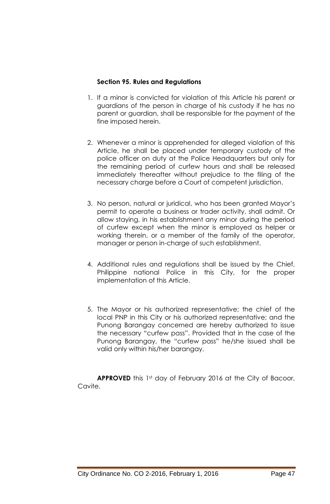## **Section 95. Rules and Regulations**

- 1. If a minor is convicted for violation of this Article his parent or guardians of the person in charge of his custody if he has no parent or guardian, shall be responsible for the payment of the fine imposed herein.
- 2. Whenever a minor is apprehended for alleged violation of this Article, he shall be placed under temporary custody of the police officer on duty at the Police Headquarters but only for the remaining period of curfew hours and shall be released immediately thereafter without prejudice to the filing of the necessary charge before a Court of competent jurisdiction.
- 3. No person, natural or juridical, who has been granted Mayor's permit to operate a business or trader activity, shall admit. Or allow staying, in his establishment any minor during the period of curfew except when the minor is employed as helper or working therein, or a member of the family of the operator, manager or person in-charge of such establishment.
- 4. Additional rules and regulations shall be issued by the Chief, Philippine national Police in this City, for the proper implementation of this Article.
- 5. The Mayor or his authorized representative; the chief of the local PNP in this City or his authorized representative; and the Punong Barangay concerned are hereby authorized to issue the necessary "curfew pass". Provided that in the case of the Punong Barangay, the "curfew pass" he/she issued shall be valid only within his/her barangay.

**APPROVED** this 1st day of February 2016 at the City of Bacoor, Cavite.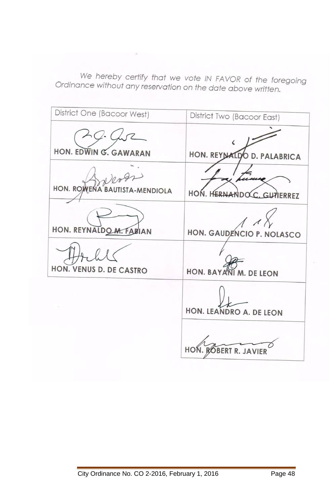We hereby certify that we vote IN FAVOR of the foregoing<br>Ordinance without any reservation on the date above written.

| District One (Bacoor West)        |                                  |
|-----------------------------------|----------------------------------|
|                                   | District Two (Bacoor East)       |
| HON. EDWIN G. GAWARAN             |                                  |
|                                   | HON. REYNALDO D. PALABRICA       |
| HON. ROWENA BA<br><b>AENDIOLA</b> | HON. HERNANDOCC. GUTIERREZ       |
| HON. REYNALDO M. FABIAN           | HON. GAUDENCIO P. NOLASCO        |
| HON. VENUS D. DE CASTRO           | HON. BAYANI M.<br><b>DE LEON</b> |
|                                   | HON. LEANDRO A. DE LEON          |
|                                   | HON<br>ROBERT R. JAVIER          |